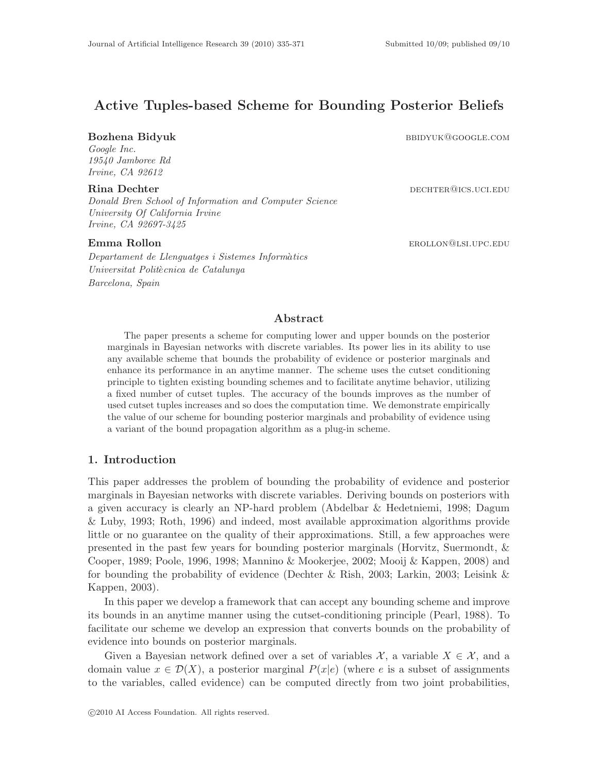# Active Tuples-based Scheme for Bounding Posterior Beliefs

Google Inc. 19540 Jamboree Rd Irvine, CA 92612

Donald Bren School of Information and Computer Science University Of California Irvine Irvine, CA 92697-3425

Departament de Llenguatges i Sistemes Informàtics

Universitat Politècnica de Catalunya

Barcelona, Spain

Bozhena Bidyuk bbidyuk bbidyuk barang panah barang barang barang barang barang barang barang barang barang bar

Rina Dechter dechter dechter dechter dechter because because  $\alpha$  because  $\alpha$  because  $\alpha$  because  $\alpha$  because  $\alpha$  because  $\alpha$  because  $\alpha$  because  $\alpha$  because  $\alpha$  because  $\alpha$  because  $\alpha$  because  $\alpha$  because  $\alpha$ 

**Emma Rollon erollon erollon erollon erollon erollon erollon erollon erollon erollon erollon erollon erollon er** 

## Abstract

The paper presents a scheme for computing lower and upper bounds on the posterior marginals in Bayesian networks with discrete variables. Its power lies in its ability to use any available scheme that bounds the probability of evidence or posterior marginals and enhance its performance in an anytime manner. The scheme uses the cutset conditioning principle to tighten existing bounding schemes and to facilitate anytime behavior, utilizing a fixed number of cutset tuples. The accuracy of the bounds improves as the number of used cutset tuples increases and so does the computation time. We demonstrate empirically the value of our scheme for bounding posterior marginals and probability of evidence using a variant of the bound propagation algorithm as a plug-in scheme.

## 1. Introduction

This paper addresses the problem of bounding the probability of evidence and posterior marginals in Bayesian networks with discrete variables. Deriving bounds on posteriors with a given accuracy is clearly an NP-hard problem (Abdelbar & Hedetniemi, 1998; Dagum & Luby, 1993; Roth, 1996) and indeed, most available approximation algorithms provide little or no guarantee on the quality of their approximations. Still, a few approaches were presented in the past few years for bounding posterior marginals (Horvitz, Suermondt, & Cooper, 1989; Poole, 1996, 1998; Mannino & Mookerjee, 2002; Mooij & Kappen, 2008) and for bounding the probability of evidence (Dechter & Rish, 2003; Larkin, 2003; Leisink & Kappen, 2003).

In this paper we develop a framework that can accept any bounding scheme and improve its bounds in an anytime manner using the cutset-conditioning principle (Pearl, 1988). To facilitate our scheme we develop an expression that converts bounds on the probability of evidence into bounds on posterior marginals.

Given a Bayesian network defined over a set of variables  $\mathcal{X}$ , a variable  $X \in \mathcal{X}$ , and a domain value  $x \in \mathcal{D}(X)$ , a posterior marginal  $P(x|e)$  (where e is a subset of assignments to the variables, called evidence) can be computed directly from two joint probabilities,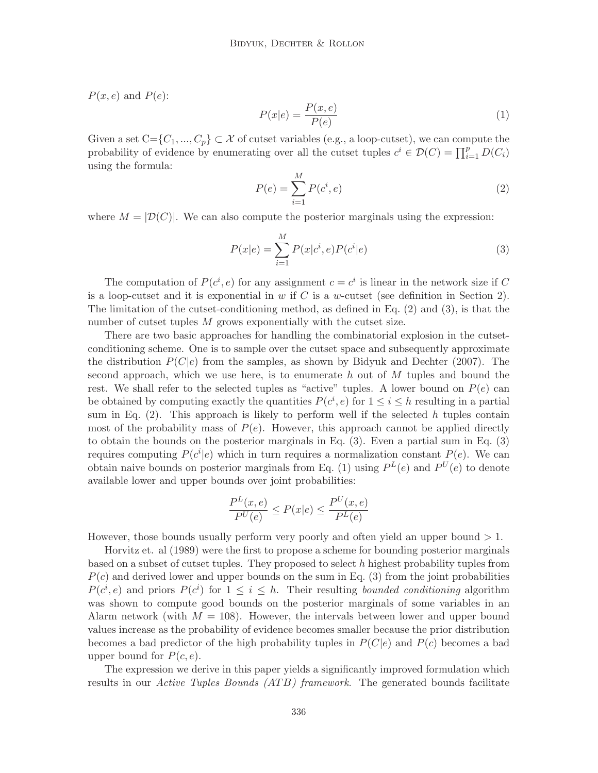$P(x, e)$  and  $P(e)$ :

$$
P(x|e) = \frac{P(x,e)}{P(e)}\tag{1}
$$

Given a set  $C = \{C_1, ..., C_p\} \subset \mathcal{X}$  of cutset variables (e.g., a loop-cutset), we can compute the probability of evidence by enumerating over all the cutset tuples  $c^i \in \mathcal{D}(C) = \prod_{i=1}^p D(C_i)$ using the formula:

$$
P(e) = \sum_{i=1}^{M} P(c^i, e)
$$
 (2)

where  $M = |\mathcal{D}(C)|$ . We can also compute the posterior marginals using the expression:

$$
P(x|e) = \sum_{i=1}^{M} P(x|c^i, e) P(c^i|e)
$$
\n(3)

The computation of  $P(c^i, e)$  for any assignment  $c = c^i$  is linear in the network size if C is a loop-cutset and it is exponential in w if C is a w-cutset (see definition in Section 2). The limitation of the cutset-conditioning method, as defined in Eq. (2) and (3), is that the number of cutset tuples M grows exponentially with the cutset size.

There are two basic approaches for handling the combinatorial explosion in the cutsetconditioning scheme. One is to sample over the cutset space and subsequently approximate the distribution  $P(C|e)$  from the samples, as shown by Bidyuk and Dechter (2007). The second approach, which we use here, is to enumerate h out of  $M$  tuples and bound the rest. We shall refer to the selected tuples as "active" tuples. A lower bound on  $P(e)$  can be obtained by computing exactly the quantities  $P(c^i, e)$  for  $1 \leq i \leq h$  resulting in a partial sum in Eq.  $(2)$ . This approach is likely to perform well if the selected h tuples contain most of the probability mass of  $P(e)$ . However, this approach cannot be applied directly to obtain the bounds on the posterior marginals in Eq. (3). Even a partial sum in Eq. (3) requires computing  $P(c^i|e)$  which in turn requires a normalization constant  $P(e)$ . We can obtain naive bounds on posterior marginals from Eq. (1) using  $P^{L}(e)$  and  $P^{U}(e)$  to denote available lower and upper bounds over joint probabilities:

$$
\frac{P^L(x,e)}{P^U(e)} \le P(x|e) \le \frac{P^U(x,e)}{P^L(e)}
$$

However, those bounds usually perform very poorly and often yield an upper bound  $>1$ .

Horvitz et. al (1989) were the first to propose a scheme for bounding posterior marginals based on a subset of cutset tuples. They proposed to select  $h$  highest probability tuples from  $P(c)$  and derived lower and upper bounds on the sum in Eq. (3) from the joint probabilities  $P(c^i, e)$  and priors  $P(c^i)$  for  $1 \leq i \leq h$ . Their resulting bounded conditioning algorithm was shown to compute good bounds on the posterior marginals of some variables in an Alarm network (with  $M = 108$ ). However, the intervals between lower and upper bound values increase as the probability of evidence becomes smaller because the prior distribution becomes a bad predictor of the high probability tuples in  $P(C|e)$  and  $P(c)$  becomes a bad upper bound for  $P(c, e)$ .

The expression we derive in this paper yields a significantly improved formulation which results in our *Active Tuples Bounds (ATB) framework*. The generated bounds facilitate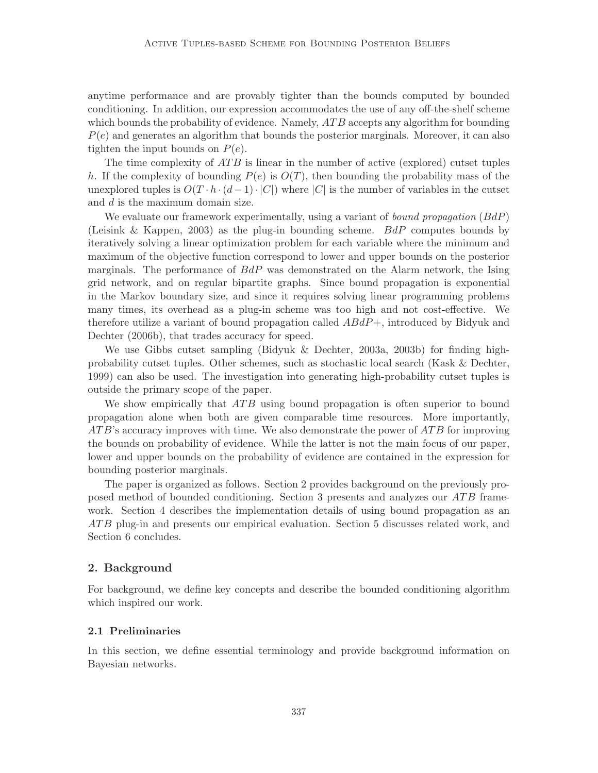anytime performance and are provably tighter than the bounds computed by bounded conditioning. In addition, our expression accommodates the use of any off-the-shelf scheme which bounds the probability of evidence. Namely,  $ATB$  accepts any algorithm for bounding  $P(e)$  and generates an algorithm that bounds the posterior marginals. Moreover, it can also tighten the input bounds on  $P(e)$ .

The time complexity of  $ATB$  is linear in the number of active (explored) cutset tuples h. If the complexity of bounding  $P(e)$  is  $O(T)$ , then bounding the probability mass of the unexplored tuples is  $O(T \cdot h \cdot (d-1) \cdot |C|)$  where  $|C|$  is the number of variables in the cutset and d is the maximum domain size.

We evaluate our framework experimentally, using a variant of *bound propagation*  $(BdP)$ (Leisink & Kappen, 2003) as the plug-in bounding scheme. BdP computes bounds by iteratively solving a linear optimization problem for each variable where the minimum and maximum of the objective function correspond to lower and upper bounds on the posterior marginals. The performance of  $BdP$  was demonstrated on the Alarm network, the Ising grid network, and on regular bipartite graphs. Since bound propagation is exponential in the Markov boundary size, and since it requires solving linear programming problems many times, its overhead as a plug-in scheme was too high and not cost-effective. We therefore utilize a variant of bound propagation called  $ABdP+$ , introduced by Bidyuk and Dechter (2006b), that trades accuracy for speed.

We use Gibbs cutset sampling (Bidyuk & Dechter, 2003a, 2003b) for finding highprobability cutset tuples. Other schemes, such as stochastic local search (Kask & Dechter, 1999) can also be used. The investigation into generating high-probability cutset tuples is outside the primary scope of the paper.

We show empirically that  $ATB$  using bound propagation is often superior to bound propagation alone when both are given comparable time resources. More importantly,  $ATB$ 's accuracy improves with time. We also demonstrate the power of  $ATB$  for improving the bounds on probability of evidence. While the latter is not the main focus of our paper, lower and upper bounds on the probability of evidence are contained in the expression for bounding posterior marginals.

The paper is organized as follows. Section 2 provides background on the previously proposed method of bounded conditioning. Section 3 presents and analyzes our  $ATB$  framework. Section 4 describes the implementation details of using bound propagation as an ATB plug-in and presents our empirical evaluation. Section 5 discusses related work, and Section 6 concludes.

### 2. Background

For background, we define key concepts and describe the bounded conditioning algorithm which inspired our work.

#### 2.1 Preliminaries

In this section, we define essential terminology and provide background information on Bayesian networks.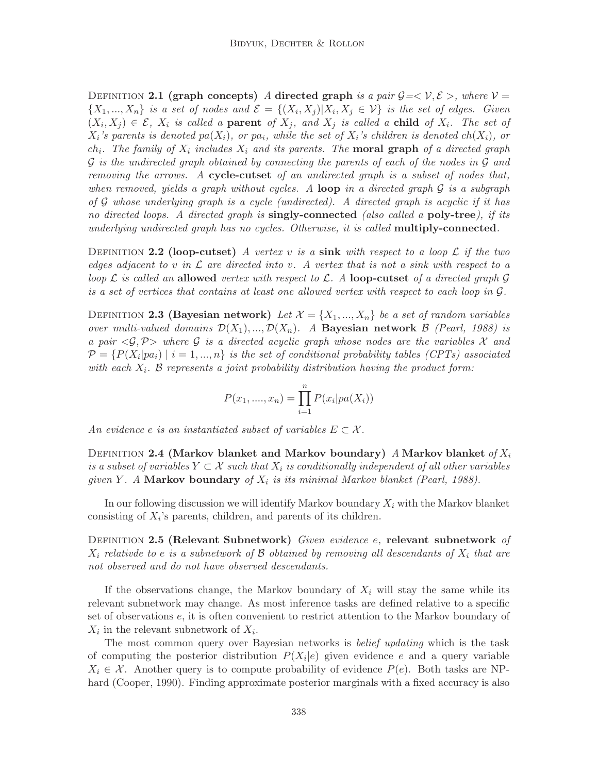DEFINITION 2.1 (graph concepts) A directed graph is a pair  $G = \langle V, \mathcal{E} \rangle$ , where  $V =$  $\{X_1, ..., X_n\}$  is a set of nodes and  $\mathcal{E} = \{(X_i, X_j) | X_i, X_j \in \mathcal{V}\}\$ is the set of edges. Given  $(X_i, X_j) \in \mathcal{E}, X_i$  is called a **parent** of  $X_j$ , and  $X_j$  is called a **child** of  $X_i$ . The set of  $X_i$ 's parents is denoted pa $(X_i)$ , or pa<sub>i</sub>, while the set of  $X_i$ 's children is denoted ch $(X_i)$ , or  $ch_i$ . The family of  $X_i$  includes  $X_i$  and its parents. The **moral graph** of a directed graph  $\mathcal G$  is the undirected graph obtained by connecting the parents of each of the nodes in  $\mathcal G$  and removing the arrows. A cycle-cutset of an undirected graph is a subset of nodes that, when removed, yields a graph without cycles. A loop in a directed graph  $\mathcal G$  is a subgraph of G whose underlying graph is a cycle (undirected). A directed graph is acyclic if it has no directed loops. A directed graph is **singly-connected** (also called a **poly-tree**), if its underlying undirected graph has no cycles. Otherwise, it is called **multiply-connected**.

DEFINITION 2.2 (loop-cutset) A vertex v is a sink with respect to a loop  $\mathcal L$  if the two edges adjacent to v in  $\mathcal L$  are directed into v. A vertex that is not a sink with respect to a loop  $\mathcal L$  is called an allowed vertex with respect to  $\mathcal L$ . A loop-cutset of a directed graph  $\mathcal G$ is a set of vertices that contains at least one allowed vertex with respect to each loop in G.

DEFINITION 2.3 (Bayesian network) Let  $\mathcal{X} = \{X_1, ..., X_n\}$  be a set of random variables over multi-valued domains  $\mathcal{D}(X_1),...,\mathcal{D}(X_n)$ . A Bayesian network  $\beta$  (Pearl, 1988) is a pair  $\langle \mathcal{G}, \mathcal{P} \rangle$  where G is a directed acyclic graph whose nodes are the variables X and  $\mathcal{P} = \{P(X_i|pa_i) \mid i = 1, ..., n\}$  is the set of conditional probability tables (CPTs) associated with each  $X_i$ . B represents a joint probability distribution having the product form:

$$
P(x_1, ..., x_n) = \prod_{i=1}^{n} P(x_i | pa(X_i))
$$

An evidence e is an instantiated subset of variables  $E \subset \mathcal{X}$ .

DEFINITION 2.4 (Markov blanket and Markov boundary) A Markov blanket of  $X_i$ is a subset of variables  $Y \subset \mathcal{X}$  such that  $X_i$  is conditionally independent of all other variables given Y. A Markov boundary of  $X_i$  is its minimal Markov blanket (Pearl, 1988).

In our following discussion we will identify Markov boundary  $X_i$  with the Markov blanket consisting of  $X_i$ 's parents, children, and parents of its children.

DEFINITION 2.5 (Relevant Subnetwork) Given evidence e, relevant subnetwork of  $X_i$  relative to e is a subnetwork of  $\mathcal B$  obtained by removing all descendants of  $X_i$  that are not observed and do not have observed descendants.

If the observations change, the Markov boundary of  $X_i$  will stay the same while its relevant subnetwork may change. As most inference tasks are defined relative to a specific set of observations e, it is often convenient to restrict attention to the Markov boundary of  $X_i$  in the relevant subnetwork of  $X_i$ .

The most common query over Bayesian networks is belief updating which is the task of computing the posterior distribution  $P(X_i|e)$  given evidence e and a query variable  $X_i \in \mathcal{X}$ . Another query is to compute probability of evidence  $P(e)$ . Both tasks are NPhard (Cooper, 1990). Finding approximate posterior marginals with a fixed accuracy is also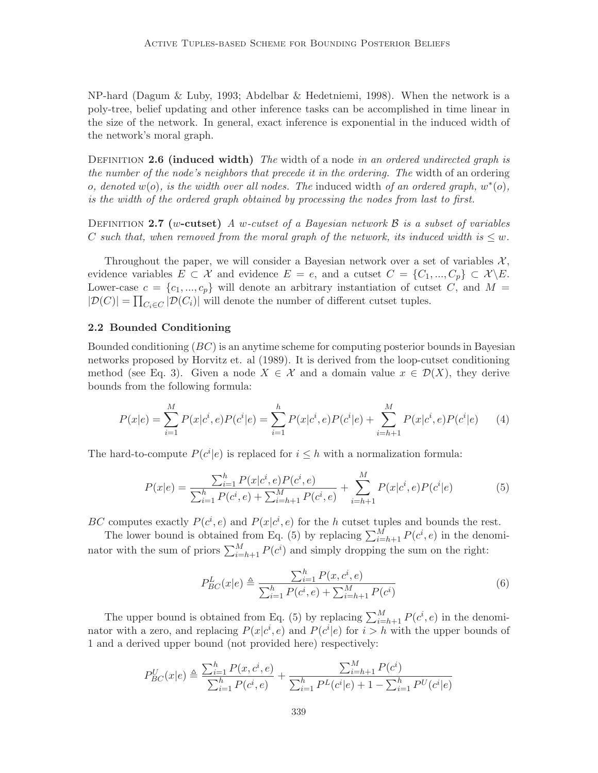NP-hard (Dagum & Luby, 1993; Abdelbar & Hedetniemi, 1998). When the network is a poly-tree, belief updating and other inference tasks can be accomplished in time linear in the size of the network. In general, exact inference is exponential in the induced width of the network's moral graph.

DEFINITION 2.6 (induced width) The width of a node in an ordered undirected graph is the number of the node's neighbors that precede it in the ordering. The width of an ordering o, denoted  $w(o)$ , is the width over all nodes. The induced width of an ordered graph,  $w^*(o)$ , is the width of the ordered graph obtained by processing the nodes from last to first.

DEFINITION 2.7 (w-cutset) A w-cutset of a Bayesian network  $\beta$  is a subset of variables C such that, when removed from the moral graph of the network, its induced width is  $\leq w$ .

Throughout the paper, we will consider a Bayesian network over a set of variables  $\mathcal{X},$ evidence variables  $E \subset \mathcal{X}$  and evidence  $E = e$ , and a cutset  $C = \{C_1, ..., C_n\} \subset \mathcal{X} \backslash E$ . Lower-case  $c = \{c_1, ..., c_p\}$  will denote an arbitrary instantiation of cutset C, and M =  $|\mathcal{D}(C)| = \prod_{C_i \in C} |\mathcal{D}(C_i)|$  will denote the number of different cutset tuples.

## 2.2 Bounded Conditioning

Bounded conditioning  $(BC)$  is an anytime scheme for computing posterior bounds in Bayesian networks proposed by Horvitz et. al (1989). It is derived from the loop-cutset conditioning method (see Eq. 3). Given a node  $X \in \mathcal{X}$  and a domain value  $x \in \mathcal{D}(X)$ , they derive bounds from the following formula:

$$
P(x|e) = \sum_{i=1}^{M} P(x|c^i, e)P(c^i|e) = \sum_{i=1}^{h} P(x|c^i, e)P(c^i|e) + \sum_{i=h+1}^{M} P(x|c^i, e)P(c^i|e) \tag{4}
$$

The hard-to-compute  $P(c^i|e)$  is replaced for  $i \leq h$  with a normalization formula:

$$
P(x|e) = \frac{\sum_{i=1}^{h} P(x|c^i, e) P(c^i, e)}{\sum_{i=1}^{h} P(c^i, e) + \sum_{i=h+1}^{M} P(c^i, e)} + \sum_{i=h+1}^{M} P(x|c^i, e) P(c^i|e)
$$
(5)

BC computes exactly  $P(c^i, e)$  and  $P(x|c^i, e)$  for the h cutset tuples and bounds the rest.

The lower bound is obtained from Eq. (5) by replacing  $\sum_{i=h+1}^{M} P(c^i, e)$  in the denominator with the sum of priors  $\sum_{i=h+1}^{M} P(c^i)$  and simply dropping the sum on the right:

$$
P_{BC}^{L}(x|e) \triangleq \frac{\sum_{i=1}^{h} P(x, c^{i}, e)}{\sum_{i=1}^{h} P(c^{i}, e) + \sum_{i=h+1}^{M} P(c^{i})}
$$
(6)

The upper bound is obtained from Eq. (5) by replacing  $\sum_{i=h+1}^{M} P(c^i, e)$  in the denominator with a zero, and replacing  $P(x|c^i, e)$  and  $P(c^i|e)$  for  $i > h$  with the upper bounds of 1 and a derived upper bound (not provided here) respectively:

$$
P_{BC}^U(x|e) \triangleq \frac{\sum_{i=1}^h P(x, c^i, e)}{\sum_{i=1}^h P(c^i, e)} + \frac{\sum_{i=h+1}^M P(c^i)}{\sum_{i=1}^h P^L(c^i|e) + 1 - \sum_{i=1}^h P^U(c^i|e)}
$$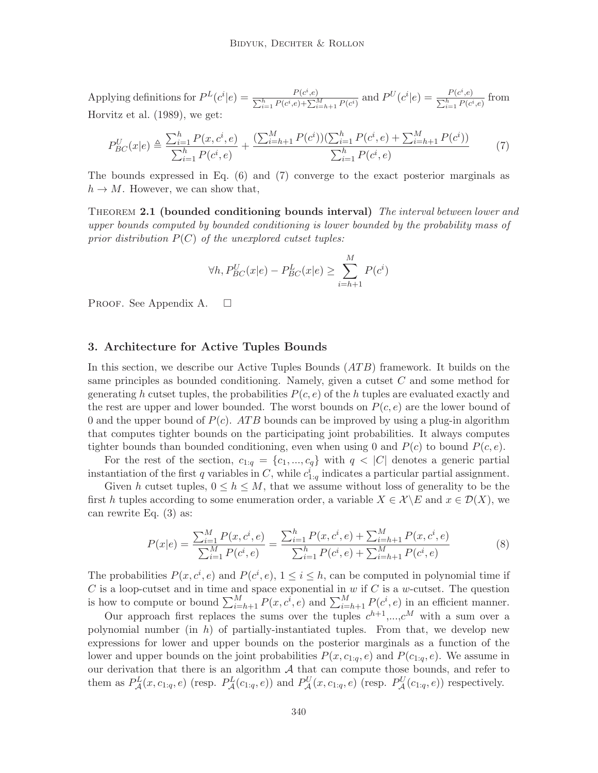Applying definitions for  $P^{L}(c^{i}|e) = \frac{P(c^{i},e)}{\sum_{k} P(c^{i},e) \sum_{k} P(c^{i},e)}$  $\frac{P(c^i, e)}{\sum_{i=1}^h P(c^i, e) + \sum_{i=h+1}^M P(c^i)}$  and  $P^U(c^i|e) = \frac{P(c^i, e)}{\sum_{i=1}^h P(c^i, e)}$  $\frac{F(c^i,e)}{\sum_{i=1}^h P(c^i,e)}$  from Horvitz et al. (1989), we get:

$$
P_{BC}^U(x|e) \triangleq \frac{\sum_{i=1}^h P(x, c^i, e)}{\sum_{i=1}^h P(c^i, e)} + \frac{(\sum_{i=h+1}^M P(c^i))(\sum_{i=1}^h P(c^i, e) + \sum_{i=h+1}^M P(c^i))}{\sum_{i=1}^h P(c^i, e)}
$$
(7)

The bounds expressed in Eq. (6) and (7) converge to the exact posterior marginals as  $h \to M$ . However, we can show that,

THEOREM 2.1 (bounded conditioning bounds interval) The interval between lower and upper bounds computed by bounded conditioning is lower bounded by the probability mass of prior distribution  $P(C)$  of the unexplored cutset tuples:

$$
\forall h, P_{BC}^U(x|e) - P_{BC}^L(x|e) \ge \sum_{i=h+1}^M P(c^i)
$$

PROOF. See Appendix A.  $\square$ 

#### 3. Architecture for Active Tuples Bounds

In this section, we describe our Active Tuples Bounds  $(ATB)$  framework. It builds on the same principles as bounded conditioning. Namely, given a cutset C and some method for generating h cutset tuples, the probabilities  $P(c, e)$  of the h tuples are evaluated exactly and the rest are upper and lower bounded. The worst bounds on  $P(c, e)$  are the lower bound of 0 and the upper bound of  $P(c)$ . ATB bounds can be improved by using a plug-in algorithm that computes tighter bounds on the participating joint probabilities. It always computes tighter bounds than bounded conditioning, even when using 0 and  $P(c)$  to bound  $P(c, e)$ .

For the rest of the section,  $c_{1:q} = \{c_1, ..., c_q\}$  with  $q < |C|$  denotes a generic partial instantiation of the first q variables in C, while  $c_{1:q}^i$  indicates a particular partial assignment.

Given h cutset tuples,  $0 \le h \le M$ , that we assume without loss of generality to be the first h tuples according to some enumeration order, a variable  $X \in \mathcal{X} \backslash E$  and  $x \in \mathcal{D}(X)$ , we can rewrite Eq. (3) as:

$$
P(x|e) = \frac{\sum_{i=1}^{M} P(x, c^i, e)}{\sum_{i=1}^{M} P(c^i, e)} = \frac{\sum_{i=1}^{h} P(x, c^i, e) + \sum_{i=h+1}^{M} P(x, c^i, e)}{\sum_{i=1}^{h} P(c^i, e) + \sum_{i=h+1}^{M} P(c^i, e)}
$$
(8)

The probabilities  $P(x, c^i, e)$  and  $P(c^i, e)$ ,  $1 \leq i \leq h$ , can be computed in polynomial time if C is a loop-cutset and in time and space exponential in  $w$  if C is a  $w$ -cutset. The question is how to compute or bound  $\sum_{i=h+1}^{M} P(x, c^i, e)$  and  $\sum_{i=h+1}^{M} P(c^i, e)$  in an efficient manner.

Our approach first replaces the sums over the tuples  $c^{h+1},...,c^M$  with a sum over a polynomial number (in  $h$ ) of partially-instantiated tuples. From that, we develop new expressions for lower and upper bounds on the posterior marginals as a function of the lower and upper bounds on the joint probabilities  $P(x, c_{1:q}, e)$  and  $P(c_{1:q}, e)$ . We assume in our derivation that there is an algorithm  $A$  that can compute those bounds, and refer to them as  $P^L_{\mathcal{A}}(x, c_{1:q}, e)$  (resp.  $P^L_{\mathcal{A}}(c_{1:q}, e)$ ) and  $P^U_{\mathcal{A}}(x, c_{1:q}, e)$  (resp.  $P^U_{\mathcal{A}}(c_{1:q}, e)$ ) respectively.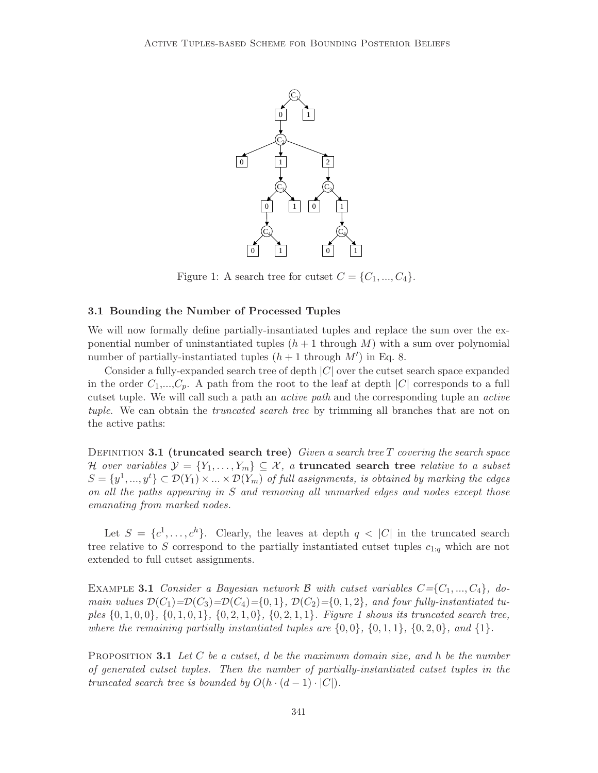

Figure 1: A search tree for cutset  $C = \{C_1, ..., C_4\}.$ 

#### 3.1 Bounding the Number of Processed Tuples

We will now formally define partially-insantiated tuples and replace the sum over the exponential number of uninstantiated tuples  $(h + 1$  through M) with a sum over polynomial number of partially-instantiated tuples  $(h + 1)$  through  $M'$  in Eq. 8.

Consider a fully-expanded search tree of depth |C| over the cutset search space expanded in the order  $C_1,...,C_n$ . A path from the root to the leaf at depth  $|C|$  corresponds to a full cutset tuple. We will call such a path an active path and the corresponding tuple an active tuple. We can obtain the *truncated search tree* by trimming all branches that are not on the active paths:

DEFINITION 3.1 (truncated search tree) Given a search tree T covering the search space H over variables  $\mathcal{Y} = \{Y_1, \ldots, Y_m\} \subseteq \mathcal{X}$ , a truncated search tree relative to a subset  $S = \{y^1, ..., y^t\} \subset \mathcal{D}(Y_1) \times ... \times \mathcal{D}(Y_m)$  of full assignments, is obtained by marking the edges on all the paths appearing in S and removing all unmarked edges and nodes except those emanating from marked nodes.

Let  $S = \{c^1, \ldots, c^h\}$ . Clearly, the leaves at depth  $q < |C|$  in the truncated search tree relative to S correspond to the partially instantiated cutset tuples  $c_{1:q}$  which are not extended to full cutset assignments.

EXAMPLE 3.1 Consider a Bayesian network B with cutset variables  $C = \{C_1, ..., C_4\}$ , domain values  $\mathcal{D}(C_1)=\mathcal{D}(C_3)=\mathcal{D}(C_4)=\{0,1\}, \mathcal{D}(C_2)=\{0,1,2\},$  and four fully-instantiated tuples  $\{0, 1, 0, 0\}$ ,  $\{0, 1, 0, 1\}$ ,  $\{0, 2, 1, 0\}$ ,  $\{0, 2, 1, 1\}$ . Figure 1 shows its truncated search tree, where the remaining partially instantiated tuples are  $\{0,0\}$ ,  $\{0,1,1\}$ ,  $\{0,2,0\}$ , and  $\{1\}$ .

**PROPOSITION 3.1** Let C be a cutset, d be the maximum domain size, and h be the number of generated cutset tuples. Then the number of partially-instantiated cutset tuples in the truncated search tree is bounded by  $O(h \cdot (d-1) \cdot |C|)$ .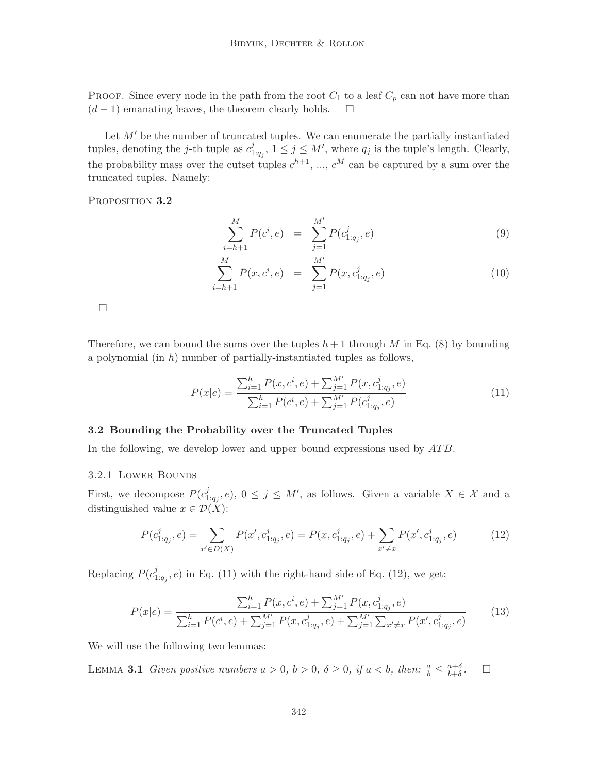PROOF. Since every node in the path from the root  $C_1$  to a leaf  $C_p$  can not have more than  $(d-1)$  emanating leaves, the theorem clearly holds.  $\square$ 

Let  $M'$  be the number of truncated tuples. We can enumerate the partially instantiated tuples, denoting the *j*-th tuple as  $c_1^j$  $j_{1:q_j}$ ,  $1 \leq j \leq M'$ , where  $q_j$  is the tuple's length. Clearly, the probability mass over the cutset tuples  $c^{h+1}$ , ...,  $c^M$  can be captured by a sum over the truncated tuples. Namely:

PROPOSITION 3.2

$$
\sum_{i=h+1}^{M} P(c^i, e) = \sum_{j=1}^{M'} P(c^j_{1:q_j}, e)
$$
\n(9)

$$
\sum_{i=h+1}^{M} P(x, c^i, e) = \sum_{j=1}^{M'} P(x, c^j_{1:q_j}, e)
$$
\n(10)

 $\Box$ 

Therefore, we can bound the sums over the tuples  $h+1$  through M in Eq. (8) by bounding a polynomial (in  $h$ ) number of partially-instantiated tuples as follows,

$$
P(x|e) = \frac{\sum_{i=1}^{h} P(x, c^i, e) + \sum_{j=1}^{M'} P(x, c^j_{1:q_j}, e)}{\sum_{i=1}^{h} P(c^i, e) + \sum_{j=1}^{M'} P(c^j_{1:q_j}, e)}
$$
(11)

#### 3.2 Bounding the Probability over the Truncated Tuples

In the following, we develop lower and upper bound expressions used by  $ATB$ .

#### 3.2.1 Lower Bounds

First, we decompose  $P(c_1^j)$  $j_{1:q_j}, e$ ,  $0 \leq j \leq M'$ , as follows. Given a variable  $X \in \mathcal{X}$  and a distinguished value  $x \in \mathcal{D}(X)$ :

$$
P(c_{1:q_j}^j, e) = \sum_{x' \in D(X)} P(x', c_{1:q_j}^j, e) = P(x, c_{1:q_j}^j, e) + \sum_{x' \neq x} P(x', c_{1:q_j}^j, e)
$$
(12)

Replacing  $P(c_1^j)$  $T_{1:q_j}, e$  in Eq. (11) with the right-hand side of Eq. (12), we get:

$$
P(x|e) = \frac{\sum_{i=1}^{h} P(x, c^{i}, e) + \sum_{j=1}^{M'} P(x, c^{j}_{1:q_{j}}, e)}{\sum_{i=1}^{h} P(c^{i}, e) + \sum_{j=1}^{M'} P(x, c^{j}_{1:q_{j}}, e) + \sum_{j=1}^{M'} \sum_{x' \neq x} P(x', c^{j}_{1:q_{j}}, e)}
$$
(13)

We will use the following two lemmas:

LEMMA 3.1 Given positive numbers  $a > 0$ ,  $b > 0$ ,  $\delta \ge 0$ , if  $a < b$ , then:  $\frac{a}{b} \le \frac{a+b}{b+\delta}$  $_{b+\delta}$  $\Box$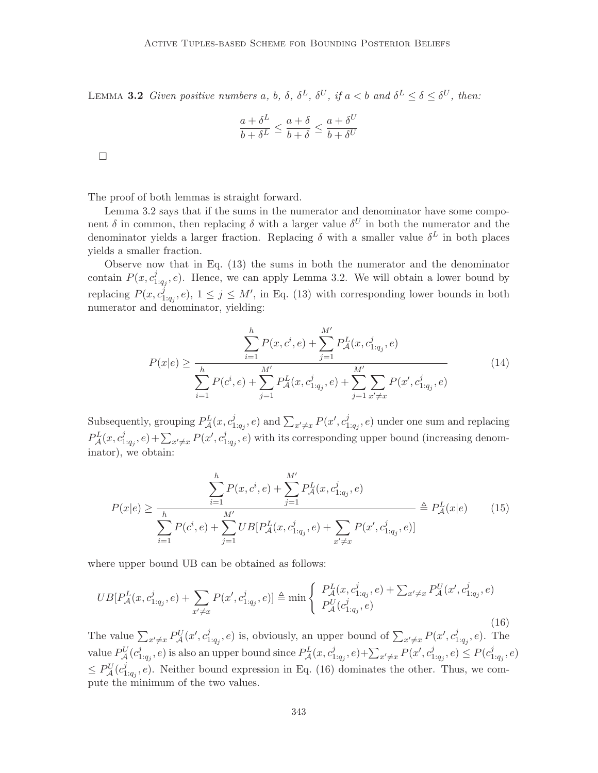LEMMA 3.2 Given positive numbers a, b,  $\delta$ ,  $\delta^L$ ,  $\delta^U$ , if  $a < b$  and  $\delta^L \leq \delta \leq \delta^U$ , then:

$$
\frac{a+\delta^L}{b+\delta^L} \leq \frac{a+\delta}{b+\delta} \leq \frac{a+\delta^U}{b+\delta^U}
$$

 $\Box$ 

The proof of both lemmas is straight forward.

Lemma 3.2 says that if the sums in the numerator and denominator have some component  $\delta$  in common, then replacing  $\delta$  with a larger value  $\delta^U$  in both the numerator and the denominator yields a larger fraction. Replacing  $\delta$  with a smaller value  $\delta^L$  in both places yields a smaller fraction.

Observe now that in Eq. (13) the sums in both the numerator and the denominator contain  $P(x, c_1^j)$  $L_{1:q_j}^j, e$ ). Hence, we can apply Lemma 3.2. We will obtain a lower bound by replacing  $P(x, c_1^j)$  $j_{1:q_j}, e$ ,  $1 \leq j \leq M'$ , in Eq. (13) with corresponding lower bounds in both numerator and denominator, yielding:

$$
P(x|e) \ge \frac{\sum_{i=1}^{h} P(x, c^i, e) + \sum_{j=1}^{M'} P_{\mathcal{A}}^{L}(x, c^j_{1:q_j}, e)}{\sum_{i=1}^{h} P(c^i, e) + \sum_{j=1}^{M'} P_{\mathcal{A}}^{L}(x, c^j_{1:q_j}, e) + \sum_{j=1}^{M'} \sum_{x' \ne x} P(x', c^j_{1:q_j}, e)}
$$
(14)

Subsequently, grouping  $P_{\mathcal{A}}^{L}(x, c_1^j)$  $\sum_{x'\neq x} P(x', c_1^j)$  and  $\sum_{x'\neq x} P(x', c_1^j)$  $P_{1:q_j}^j, e$  under one sum and replacing  $P_{\mathcal{A}}^{L}(x,c_1^j)$  $(x_1^j, e) + \sum_{x' \neq x} P(x', c_1^j)$  $T_{1:q_j}, e$ ) with its corresponding upper bound (increasing denominator), we obtain:

$$
P(x|e) \ge \frac{\sum_{i=1}^{h} P(x, c^i, e) + \sum_{j=1}^{M'} P_{\mathcal{A}}^{L}(x, c^j_{1:q_j}, e)}{\sum_{i=1}^{h} P(c^i, e) + \sum_{j=1}^{M'} UB[P_{\mathcal{A}}^{L}(x, c^j_{1:q_j}, e) + \sum_{x' \ne x} P(x', c^j_{1:q_j}, e)]} \triangleq P_{\mathcal{A}}^{L}(x|e) \tag{15}
$$

where upper bound UB can be obtained as follows:

$$
UB[P_{\mathcal{A}}^{L}(x, c_{1:q_{j}}^{j}, e) + \sum_{x' \neq x} P(x', c_{1:q_{j}}^{j}, e)] \triangleq \min \left\{ \begin{array}{l} P_{\mathcal{A}}^{L}(x, c_{1:q_{j}}^{j}, e) + \sum_{x' \neq x} P_{\mathcal{A}}^{U}(x', c_{1:q_{j}}^{j}, e) \\ P_{\mathcal{A}}^{U}(c_{1:q_{j}}^{j}, e) \end{array} \right. \tag{16}
$$

The value  $\sum_{x'\neq x} P_{\mathcal{A}}^{U}(x', c_1')$  $j_{1:q_j}, e$  is, obviously, an upper bound of  $\sum_{x' \neq x} P(x', c_1')$  $_{1:q_j}^j, e$ ). The value  $P_{\mathcal{A}}^{U}(c_1^j)$  $\hat{P}^j_{1:q_j}, e$ ) is also an upper bound since  $P^L_{\cal A}(x, c^j_1)$  $\sum_{j=1:q_j}^{j}e_j + \sum_{x'\neq x} P(x',c_1^j)$  $j_{1:q_j}, e) \leq P(c_1^j)$  $_{1:q_j}^j,e)$  $\leq P^U_{\mathcal{A}}(c_1^j)$  $T_{1:q_j}, e$ ). Neither bound expression in Eq. (16) dominates the other. Thus, we compute the minimum of the two values.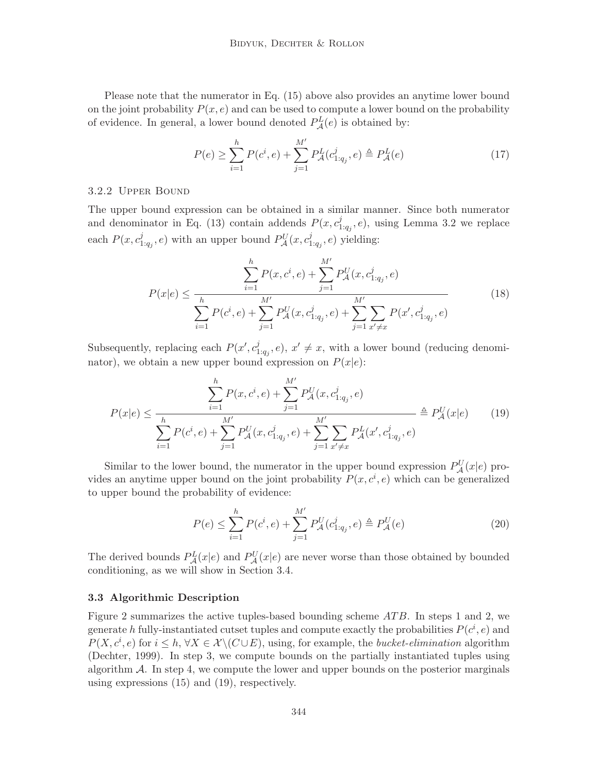Please note that the numerator in Eq. (15) above also provides an anytime lower bound on the joint probability  $P(x, e)$  and can be used to compute a lower bound on the probability of evidence. In general, a lower bound denoted  $P_{\mathcal{A}}^{L}(e)$  is obtained by:

$$
P(e) \ge \sum_{i=1}^{h} P(c^i, e) + \sum_{j=1}^{M'} P_{\mathcal{A}}^{L}(c^j_{1:q_j}, e) \triangleq P_{\mathcal{A}}^{L}(e)
$$
\n(17)

### 3.2.2 Upper Bound

The upper bound expression can be obtained in a similar manner. Since both numerator and denominator in Eq. (13) contain addends  $P(x, c_1)$  $\mathcal{L}_{1:q_j}^j, e$ , using Lemma 3.2 we replace each  $P(x, c_1^j)$  $p_{1:q_j}^j, e$ ) with an upper bound  $P_{\mathcal{A}}^U(x, c_1^j)$  $l_{1:q_j}^j, e)$  yielding:

$$
P(x|e) \le \frac{\sum_{i=1}^{h} P(x, c^i, e) + \sum_{j=1}^{M'} P_{\mathcal{A}}^{U}(x, c^j_{1:q_j}, e)}{\sum_{i=1}^{h} P(c^i, e) + \sum_{j=1}^{M'} P_{\mathcal{A}}^{U}(x, c^j_{1:q_j}, e) + \sum_{j=1}^{M'} \sum_{x' \ne x} P(x', c^j_{1:q_j}, e)}
$$
(18)

Subsequently, replacing each  $P(x', c_1'')$  $a_{1:q_j}^j, e$ ,  $x' \neq x$ , with a lower bound (reducing denominator), we obtain a new upper bound expression on  $P(x|e)$ :

$$
P(x|e) \le \frac{\sum_{i=1}^{h} P(x, c^i, e) + \sum_{j=1}^{M'} P_{\mathcal{A}}^{U}(x, c^j_{1:q_j}, e)}{\sum_{i=1}^{h} P(c^i, e) + \sum_{j=1}^{M'} P_{\mathcal{A}}^{U}(x, c^j_{1:q_j}, e) + \sum_{j=1}^{M'} \sum_{x' \ne x} P_{\mathcal{A}}^{L}(x', c^j_{1:q_j}, e)} \triangleq P_{\mathcal{A}}^{U}(x|e) \tag{19}
$$

Similar to the lower bound, the numerator in the upper bound expression  $P_{\mathcal{A}}^{U}(x|e)$  provides an anytime upper bound on the joint probability  $P(x, c^i, e)$  which can be generalized to upper bound the probability of evidence:

$$
P(e) \le \sum_{i=1}^{h} P(c^i, e) + \sum_{j=1}^{M'} P_{\mathcal{A}}^{U}(c^j_{1:q_j}, e) \triangleq P_{\mathcal{A}}^{U}(e)
$$
\n(20)

The derived bounds  $P_{\mathcal{A}}^{L}(x|e)$  and  $P_{\mathcal{A}}^{U}(x|e)$  are never worse than those obtained by bounded conditioning, as we will show in Section 3.4.

#### 3.3 Algorithmic Description

Figure 2 summarizes the active tuples-based bounding scheme  $ATB$ . In steps 1 and 2, we generate h fully-instantiated cutset tuples and compute exactly the probabilities  $P(c^i, e)$  and  $P(X, c^i, e)$  for  $i \leq h, \forall X \in \mathcal{X} \setminus (C \cup E)$ , using, for example, the *bucket-elimination* algorithm (Dechter, 1999). In step 3, we compute bounds on the partially instantiated tuples using algorithm  $A$ . In step 4, we compute the lower and upper bounds on the posterior marginals using expressions (15) and (19), respectively.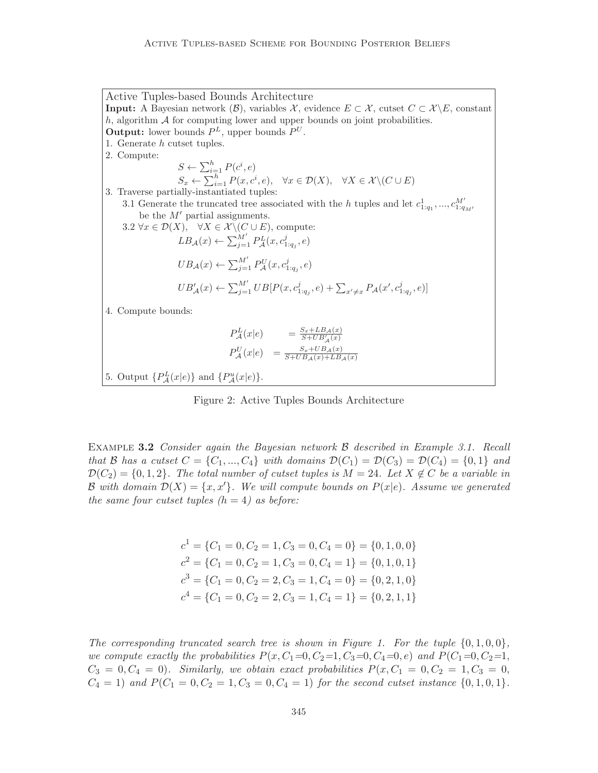Active Tuples-based Bounds Architecture **Input:** A Bayesian network  $(\mathcal{B})$ , variables X, evidence  $E \subset \mathcal{X}$ , cutset  $C \subset \mathcal{X} \backslash E$ , constant h, algorithm  $\mathcal A$  for computing lower and upper bounds on joint probabilities. **Output:** lower bounds  $P^L$ , upper bounds  $P^U$ . 1. Generate h cutset tuples. 2. Compute:  $S \leftarrow \sum_{i=1}^{h} P(c^i, e)$  $S_x \leftarrow \sum_{i=1}^h P(x, c^i, e), \quad \forall x \in \mathcal{D}(X), \quad \forall X \in \mathcal{X} \setminus (C \cup E)$ 3. Traverse partially-instantiated tuples: 3.1 Generate the truncated tree associated with the h tuples and let  $c_{1:q_1}^1, ..., c_{1:q_M}^{M'}$ be the  $M'$  partial assignments. 3.2  $\forall x \in \mathcal{D}(X), \quad \forall X \in \mathcal{X} \setminus (C \cup E),$  compute:  $LB_{\mathcal{A}}(x) \leftarrow \sum_{j=1}^{M'} P_{\mathcal{A}}^{L}(x, c_{1:q_j}^j, e)$  $UB_{\mathcal{A}}(x) \leftarrow \sum_{j=1}^{M'} P_{\mathcal{A}}^{U}(x, c_{1:q_j}^j, e)$  $UB'_{\mathcal{A}}(x) \leftarrow \sum_{j=1}^{M'} UB[P(x, c_{1:q_j}^j, e) + \sum_{x' \neq x} P_{\mathcal{A}}(x', c_{1:q_j}^j, e)]$ 4. Compute bounds:  $P^L_{\mathcal{A}}(x|e) = \frac{S_x + LB_{\mathcal{A}}(x)}{S + UB'_{\mathcal{A}}(x)}$  $P_{\mathcal{A}}^{U}(x|e) = \frac{S_x+UB_{\mathcal{A}}(x)}{S+UB_{\mathcal{A}}(x)+LB_{\mathcal{A}}(x)}$ 5. Output  $\{P_{\mathcal{A}}^{L}(x|e)\}\$  and  $\{P_{\mathcal{A}}^{u}(x|e)\}.$ 

Figure 2: Active Tuples Bounds Architecture

EXAMPLE 3.2 Consider again the Bayesian network B described in Example 3.1. Recall that B has a cutset  $C = \{C_1, ..., C_4\}$  with domains  $\mathcal{D}(C_1) = \mathcal{D}(C_3) = \mathcal{D}(C_4) = \{0, 1\}$  and  $\mathcal{D}(C_2) = \{0, 1, 2\}$ . The total number of cutset tuples is  $M = 24$ . Let  $X \notin C$  be a variable in B with domain  $\mathcal{D}(X) = \{x, x'\}.$  We will compute bounds on  $P(x|e)$ . Assume we generated the same four cutset tuples  $(h = 4)$  as before:

$$
c1 = {C1 = 0, C2 = 1, C3 = 0, C4 = 0} = {0, 1, 0, 0}
$$
  
\n
$$
c2 = {C1 = 0, C2 = 1, C3 = 0, C4 = 1} = {0, 1, 0, 1}
$$
  
\n
$$
c3 = {C1 = 0, C2 = 2, C3 = 1, C4 = 0} = {0, 2, 1, 0}
$$
  
\n
$$
c4 = {C1 = 0, C2 = 2, C3 = 1, C4 = 1} = {0, 2, 1, 1}
$$

The corresponding truncated search tree is shown in Figure 1. For the tuple  $\{0, 1, 0, 0\}$ , we compute exactly the probabilities  $P(x, C_1=0, C_2=1, C_3=0, C_4=0, e)$  and  $P(C_1=0, C_2=1,$  $C_3 = 0, C_4 = 0$ . Similarly, we obtain exact probabilities  $P(x, C_1 = 0, C_2 = 1, C_3 = 0,$  $C_4 = 1$ ) and  $P(C_1 = 0, C_2 = 1, C_3 = 0, C_4 = 1)$  for the second cutset instance  $\{0, 1, 0, 1\}.$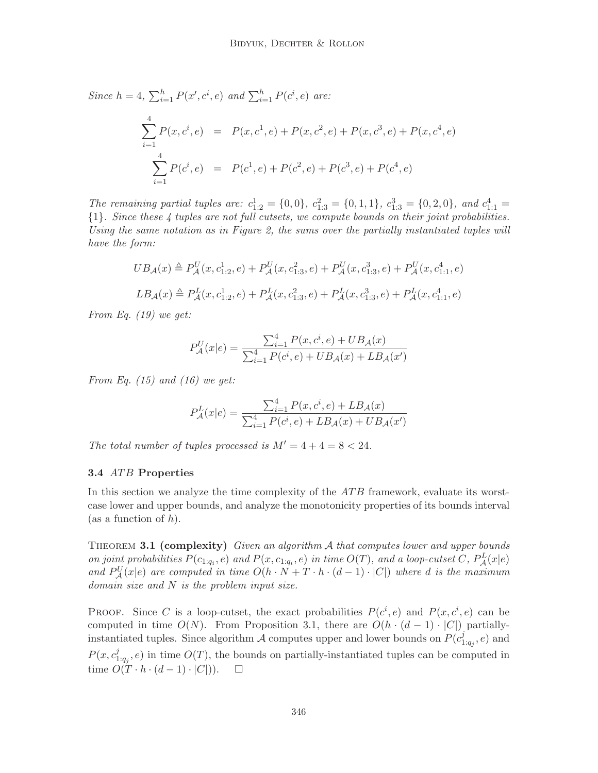Since  $h = 4$ ,  $\sum_{i=1}^{h} P(x', c^i, e)$  and  $\sum_{i=1}^{h} P(c^i, e)$  are:  $\sum$ 4  $i=1$  $P(x, c^i, e) = P(x, c^1, e) + P(x, c^2, e) + P(x, c^3, e) + P(x, c^4, e)$  $\sum$ 4  $i=1$  $P(c^i, e) = P(c^1, e) + P(c^2, e) + P(c^3, e) + P(c^4, e)$ 

The remaining partial tuples are:  $c_{1:2}^1 = \{0,0\}$ ,  $c_{1:3}^2 = \{0,1,1\}$ ,  $c_{1:3}^3 = \{0,2,0\}$ , and  $c_{1:1}^4 =$ {1}. Since these 4 tuples are not full cutsets, we compute bounds on their joint probabilities. Using the same notation as in Figure 2, the sums over the partially instantiated tuples will have the form:

$$
UB_{\mathcal{A}}(x) \triangleq P_{\mathcal{A}}^{U}(x, c_{1:2}^{1}, e) + P_{\mathcal{A}}^{U}(x, c_{1:3}^{2}, e) + P_{\mathcal{A}}^{U}(x, c_{1:3}^{3}, e) + P_{\mathcal{A}}^{U}(x, c_{1:1}^{4}, e)
$$
  

$$
LB_{\mathcal{A}}(x) \triangleq P_{\mathcal{A}}^{L}(x, c_{1:2}^{1}, e) + P_{\mathcal{A}}^{L}(x, c_{1:3}^{2}, e) + P_{\mathcal{A}}^{L}(x, c_{1:3}^{3}, e) + P_{\mathcal{A}}^{L}(x, c_{1:1}^{4}, e)
$$

From Eq. (19) we get:

$$
P_{\mathcal{A}}^{U}(x|e) = \frac{\sum_{i=1}^{4} P(x, c^i, e) + UB_{\mathcal{A}}(x)}{\sum_{i=1}^{4} P(c^i, e) + UB_{\mathcal{A}}(x) + LB_{\mathcal{A}}(x')}
$$

From Eq.  $(15)$  and  $(16)$  we get:

$$
P_{\mathcal{A}}^{L}(x|e) = \frac{\sum_{i=1}^{4} P(x, c^{i}, e) + LB_{\mathcal{A}}(x)}{\sum_{i=1}^{4} P(c^{i}, e) + LB_{\mathcal{A}}(x) + UB_{\mathcal{A}}(x')}
$$

The total number of tuples processed is  $M' = 4 + 4 = 8 < 24$ .

## 3.4 ATB Properties

In this section we analyze the time complexity of the  $ATB$  framework, evaluate its worstcase lower and upper bounds, and analyze the monotonicity properties of its bounds interval (as a function of  $h$ ).

THEOREM 3.1 (complexity) Given an algorithm  $A$  that computes lower and upper bounds on joint probabilities  $P(c_{1:q_i}, e)$  and  $P(x, c_{1:q_i}, e)$  in time  $O(T)$ , and a loop-cutset C,  $P^L_{\mathcal{A}}(x|e)$ and  $P_{\mathcal{A}}^{U}(x|e)$  are computed in time  $O(h \cdot N + T \cdot h \cdot (d-1) \cdot |C|)$  where d is the maximum domain size and N is the problem input size.

PROOF. Since C is a loop-cutset, the exact probabilities  $P(c^i, e)$  and  $P(x, c^i, e)$  can be computed in time  $O(N)$ . From Proposition 3.1, there are  $O(h \cdot (d-1) \cdot |C|)$  partiallyinstantiated tuples. Since algorithm  $\overline{\mathcal{A}}$  computes upper and lower bounds on  $P(c_1)$  $a_{1:q_j}^j, e)$  and  $P(x, c_1^j)$  $\mathcal{O}_{1:q_j}, e$  in time  $O(T)$ , the bounds on partially-instantiated tuples can be computed in time  $O(T \cdot h \cdot (d-1) \cdot |C|)$ . □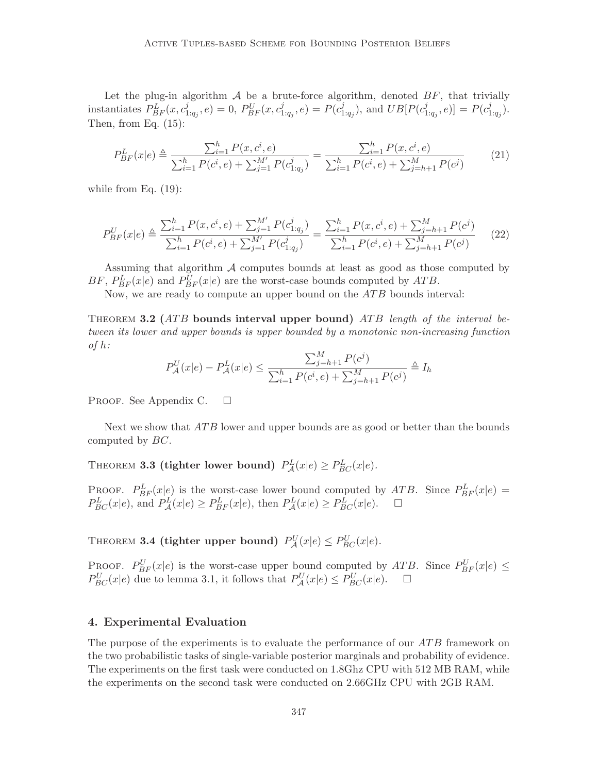Let the plug-in algorithm  $A$  be a brute-force algorithm, denoted  $BF$ , that trivially instantiates  $\overline{P_{BF}^L}(x, c_1^j)$  $\sum_{1:q_j}^{j}$ ,  $e$ ) = 0,  $P_{BF}^{U}(x, c_1^j)$  $\tilde{p}_{1:q_j},e) = P(\tilde{c}_1^j)$  $j_{1:q_j}$ ), and  $UB[P(c_1^j)]$  $\big[ \begin{matrix} j_{1:q_{j}},e \end{matrix} \big] = P(c_{1}^{j})$  $_{1:q_{j}}^{j}).$ Then, from Eq.  $(15)$ :

$$
P_{BF}^{L}(x|e) \triangleq \frac{\sum_{i=1}^{h} P(x, c^{i}, e)}{\sum_{i=1}^{h} P(c^{i}, e) + \sum_{j=1}^{M'} P(c^{j}_{1:q_{j}})} = \frac{\sum_{i=1}^{h} P(x, c^{i}, e)}{\sum_{i=1}^{h} P(c^{i}, e) + \sum_{j=h+1}^{M} P(c^{j})}
$$
(21)

while from Eq.  $(19)$ :

$$
P_{BF}^{U}(x|e) \triangleq \frac{\sum_{i=1}^{h} P(x, c^{i}, e) + \sum_{j=1}^{M'} P(c^{j}_{1:q_{j}})}{\sum_{i=1}^{h} P(c^{i}, e) + \sum_{j=1}^{M'} P(c^{j}_{1:q_{j}})} = \frac{\sum_{i=1}^{h} P(x, c^{i}, e) + \sum_{j=h+1}^{M} P(c^{j})}{\sum_{i=1}^{h} P(c^{i}, e) + \sum_{j=h+1}^{M} P(c^{j})}
$$
(22)

Assuming that algorithm  $A$  computes bounds at least as good as those computed by BF,  $P_{BF}^{L}(x|e)$  and  $P_{BF}^{U}(x|e)$  are the worst-case bounds computed by ATB.

Now, we are ready to compute an upper bound on the *ATB* bounds interval:

THEOREM 3.2 (ATB bounds interval upper bound) ATB length of the interval between its lower and upper bounds is upper bounded by a monotonic non-increasing function of  $h$ :

$$
P_{\mathcal{A}}^{U}(x|e) - P_{\mathcal{A}}^{L}(x|e) \le \frac{\sum_{j=h+1}^{M} P(c^{j})}{\sum_{i=1}^{h} P(c^{i}, e) + \sum_{j=h+1}^{M} P(c^{j})} \triangleq I_{h}
$$

PROOF. See Appendix C.  $\square$ 

Next we show that *ATB* lower and upper bounds are as good or better than the bounds computed by BC.

THEOREM **3.3 (tighter lower bound)**  $P_{\mathcal{A}}^{L}(x|e) \geq P_{BC}^{L}(x|e)$ .

PROOF.  $P_{BF}^{L}(x|e)$  is the worst-case lower bound computed by ATB. Since  $P_{BF}^{L}(x|e)$  =  $P_{BC}^L(x|e)$ , and  $P_{\mathcal{A}}^L(x|e) \ge P_{BF}^L(x|e)$ , then  $P_{\mathcal{A}}^L(x|e) \ge P_{BC}^L(x|e)$ .  $\Box$ 

THEOREM **3.4** (tighter upper bound)  $P_{\mathcal{A}}^{U}(x|e) \leq P_{BC}^{U}(x|e)$ .

PROOF.  $P_{BF}^{U}(x|e)$  is the worst-case upper bound computed by ATB. Since  $P_{BF}^{U}(x|e) \le$  $P_{BC}^U(x|e)$  due to lemma 3.1, it follows that  $P_{\mathcal{A}}^U(x|e) \leq P_{BC}^U(x|e)$ .  $\Box$ 

### 4. Experimental Evaluation

The purpose of the experiments is to evaluate the performance of our ATB framework on the two probabilistic tasks of single-variable posterior marginals and probability of evidence. The experiments on the first task were conducted on 1.8Ghz CPU with 512 MB RAM, while the experiments on the second task were conducted on 2.66GHz CPU with 2GB RAM.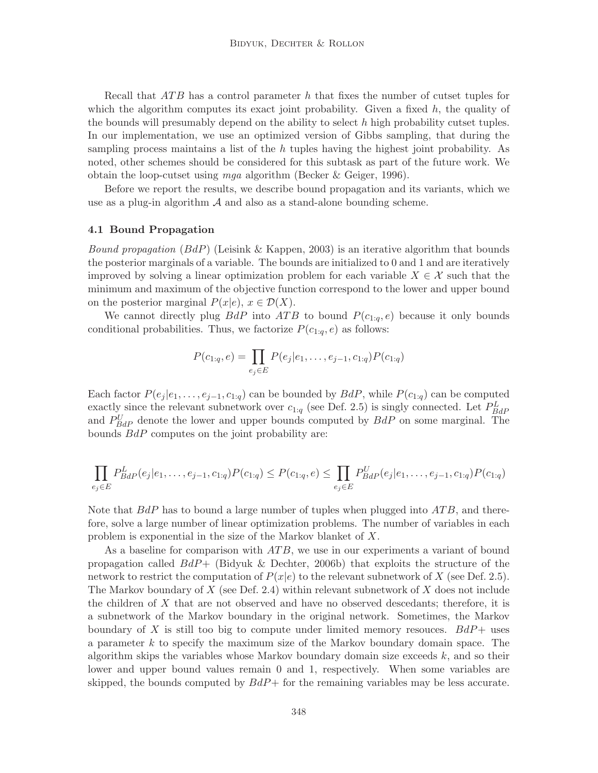Recall that  $ATB$  has a control parameter h that fixes the number of cutset tuples for which the algorithm computes its exact joint probability. Given a fixed  $h$ , the quality of the bounds will presumably depend on the ability to select  $h$  high probability cutset tuples. In our implementation, we use an optimized version of Gibbs sampling, that during the sampling process maintains a list of the  $h$  tuples having the highest joint probability. As noted, other schemes should be considered for this subtask as part of the future work. We obtain the loop-cutset using mga algorithm (Becker & Geiger, 1996).

Before we report the results, we describe bound propagation and its variants, which we use as a plug-in algorithm  $A$  and also as a stand-alone bounding scheme.

#### 4.1 Bound Propagation

*Bound propagation* ( $BdP$ ) (Leisink & Kappen, 2003) is an iterative algorithm that bounds the posterior marginals of a variable. The bounds are initialized to 0 and 1 and are iteratively improved by solving a linear optimization problem for each variable  $X \in \mathcal{X}$  such that the minimum and maximum of the objective function correspond to the lower and upper bound on the posterior marginal  $P(x|e)$ ,  $x \in \mathcal{D}(X)$ .

We cannot directly plug  $BdP$  into  $ATB$  to bound  $P(c_{1:q}, e)$  because it only bounds conditional probabilities. Thus, we factorize  $P(c_{1:q}, e)$  as follows:

$$
P(c_{1:q}, e) = \prod_{e_j \in E} P(e_j|e_1, \dots, e_{j-1}, c_{1:q}) P(c_{1:q})
$$

Each factor  $P(e_i | e_1, \ldots, e_{i-1}, c_{1:q})$  can be bounded by  $BdP$ , while  $P(c_{1:q})$  can be computed exactly since the relevant subnetwork over  $c_{1:q}$  (see Def. 2.5) is singly connected. Let  $P_{BdP}^{L}$ and  $P_{BdP}^{U}$  denote the lower and upper bounds computed by  $BdP$  on some marginal. The bounds BdP computes on the joint probability are:

$$
\prod_{e_j \in E} P_{Bdp}^L(e_j|e_1, \ldots, e_{j-1}, c_{1:q}) P(c_{1:q}) \leq P(c_{1:q}, e) \leq \prod_{e_j \in E} P_{Bdp}^U(e_j|e_1, \ldots, e_{j-1}, c_{1:q}) P(c_{1:q})
$$

Note that  $BdP$  has to bound a large number of tuples when plugged into  $ATB$ , and therefore, solve a large number of linear optimization problems. The number of variables in each problem is exponential in the size of the Markov blanket of X.

As a baseline for comparison with  $ATB$ , we use in our experiments a variant of bound propagation called  $BdP+$  (Bidyuk & Dechter, 2006b) that exploits the structure of the network to restrict the computation of  $P(x|e)$  to the relevant subnetwork of X (see Def. 2.5). The Markov boundary of  $X$  (see Def. 2.4) within relevant subnetwork of  $X$  does not include the children of X that are not observed and have no observed descedants; therefore, it is a subnetwork of the Markov boundary in the original network. Sometimes, the Markov boundary of X is still too big to compute under limited memory resouces.  $BdP+$  uses a parameter k to specify the maximum size of the Markov boundary domain space. The algorithm skips the variables whose Markov boundary domain size exceeds  $k$ , and so their lower and upper bound values remain 0 and 1, respectively. When some variables are skipped, the bounds computed by  $BdP+$  for the remaining variables may be less accurate.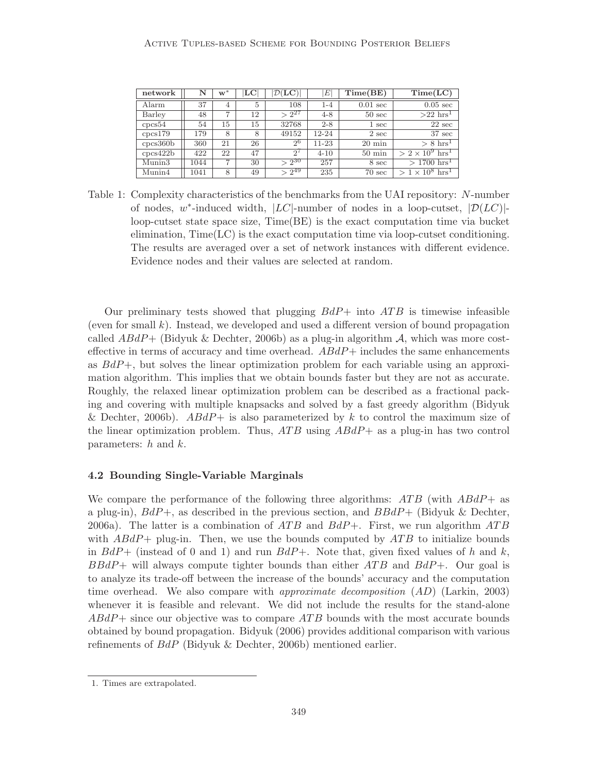| network                  | N    | $w^*$          | $_{\rm LC}$ | $\mathcal{D}(\mathbf{LC})$ | E         | Time(BE)           | Time(LC)                           |
|--------------------------|------|----------------|-------------|----------------------------|-----------|--------------------|------------------------------------|
| Alarm                    | 37   | 4              | 5           | 108                        | $1 - 4$   | $0.01 \text{ sec}$ | $0.05 \text{ sec}$                 |
| Barley                   | 48   | 7              | 12          | $> 2^{27}$                 | $4 - 8$   | $50 \text{ sec}$   | $>22$ hrs <sup>1</sup>             |
| $\text{cpc}\text{s}54$   | 54   | 15             | 15          | 32768                      | $2 - 8$   | $1 \sec$           | $22 \text{ sec}$                   |
| cpcs179                  | 179  | 8              | 8           | 49152                      | $12 - 24$ | $2 \text{ sec}$    | $37 \text{ sec}$                   |
| $\text{cpcs}360\text{b}$ | 360  | 21             | 26          | 2 <sup>6</sup>             | $11 - 23$ | $20 \text{ min}$   | $> 8 \text{ hrs}^1$                |
| csc422b                  | 422  | 22             | 47          | $2^{\prime}$               | $4 - 10$  | $50 \text{ min}$   | $> 2 \times 10^9$ hrs <sup>1</sup> |
| Munin3                   | 1044 | $\overline{ }$ | 30          | $> 2^{30}$                 | 257       | 8 sec              | $>1700$ hrs <sup>1</sup>           |
| Munin4                   | 1041 | 8              | 49          | $> 2^{49}$                 | 235       | $70 \text{ sec}$   | $> 1 \times 10^8$ hrs <sup>T</sup> |

Table 1: Complexity characteristics of the benchmarks from the UAI repository: N-number of nodes, w\*-induced width,  $|LC|$ -number of nodes in a loop-cutset,  $|\mathcal{D}(LC)|$ loop-cutset state space size, Time(BE) is the exact computation time via bucket elimination, Time(LC) is the exact computation time via loop-cutset conditioning. The results are averaged over a set of network instances with different evidence. Evidence nodes and their values are selected at random.

Our preliminary tests showed that plugging  $BdP+$  into  $ATB$  is timewise infeasible (even for small  $k$ ). Instead, we developed and used a different version of bound propagation called  $ABdP+$  (Bidyuk & Dechter, 2006b) as a plug-in algorithm A, which was more costeffective in terms of accuracy and time overhead.  $ABdP+$  includes the same enhancements as  $BdP+$ , but solves the linear optimization problem for each variable using an approximation algorithm. This implies that we obtain bounds faster but they are not as accurate. Roughly, the relaxed linear optimization problem can be described as a fractional packing and covering with multiple knapsacks and solved by a fast greedy algorithm (Bidyuk & Dechter, 2006b).  $ABdP+$  is also parameterized by k to control the maximum size of the linear optimization problem. Thus,  $ATB$  using  $ABdP+\text{ as a plug-in has two control}$ parameters:  $h$  and  $k$ .

#### 4.2 Bounding Single-Variable Marginals

We compare the performance of the following three algorithms:  $ATB$  (with  $ABdP+$  as a plug-in),  $BdP+$ , as described in the previous section, and  $BBdP+$  (Bidyuk & Dechter, 2006a). The latter is a combination of  $ATB$  and  $BdP+$ . First, we run algorithm  $ATB$ with  $ABdP+$  plug-in. Then, we use the bounds computed by  $ATB$  to initialize bounds in  $BdP+$  (instead of 0 and 1) and run  $BdP+$ . Note that, given fixed values of h and k,  $BBdP+$  will always compute tighter bounds than either  $ATB$  and  $BdP+$ . Our goal is to analyze its trade-off between the increase of the bounds' accuracy and the computation time overhead. We also compare with *approximate decomposition*  $(AD)$  (Larkin, 2003) whenever it is feasible and relevant. We did not include the results for the stand-alone  $ABdP+$  since our objective was to compare ATB bounds with the most accurate bounds obtained by bound propagation. Bidyuk (2006) provides additional comparison with various refinements of  $BdP$  (Bidyuk & Dechter, 2006b) mentioned earlier.

<sup>1.</sup> Times are extrapolated.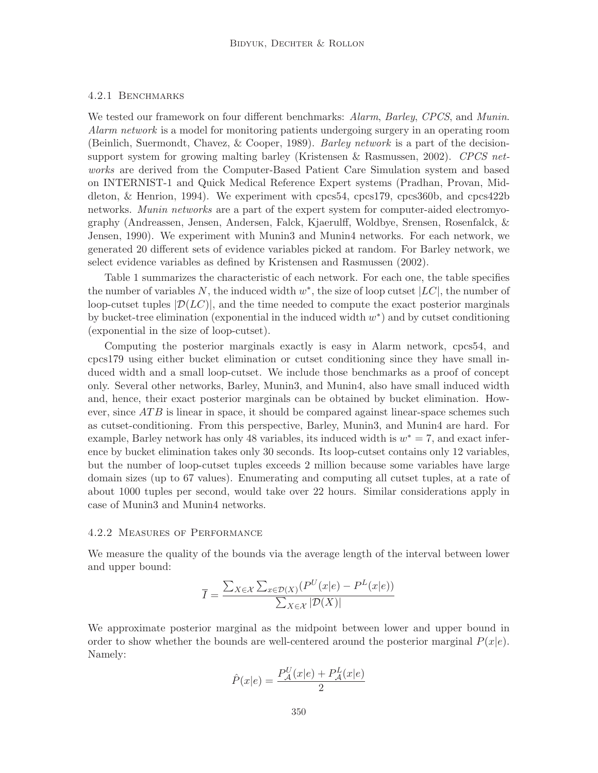### 4.2.1 Benchmarks

We tested our framework on four different benchmarks: Alarm, Barley, CPCS, and Munin. Alarm network is a model for monitoring patients undergoing surgery in an operating room (Beinlich, Suermondt, Chavez, & Cooper, 1989). Barley network is a part of the decisionsupport system for growing malting barley (Kristensen & Rasmussen, 2002). CPCS networks are derived from the Computer-Based Patient Care Simulation system and based on INTERNIST-1 and Quick Medical Reference Expert systems (Pradhan, Provan, Middleton, & Henrion, 1994). We experiment with cpcs54, cpcs179, cpcs360b, and cpcs422b networks. Munin networks are a part of the expert system for computer-aided electromyography (Andreassen, Jensen, Andersen, Falck, Kjaerulff, Woldbye, Srensen, Rosenfalck, & Jensen, 1990). We experiment with Munin3 and Munin4 networks. For each network, we generated 20 different sets of evidence variables picked at random. For Barley network, we select evidence variables as defined by Kristensen and Rasmussen (2002).

Table 1 summarizes the characteristic of each network. For each one, the table specifies the number of variables N, the induced width  $w^*$ , the size of loop cutset  $|LC|$ , the number of loop-cutset tuples  $|\mathcal{D}(LC)|$ , and the time needed to compute the exact posterior marginals by bucket-tree elimination (exponential in the induced width  $w^*$ ) and by cutset conditioning (exponential in the size of loop-cutset).

Computing the posterior marginals exactly is easy in Alarm network, cpcs54, and cpcs179 using either bucket elimination or cutset conditioning since they have small induced width and a small loop-cutset. We include those benchmarks as a proof of concept only. Several other networks, Barley, Munin3, and Munin4, also have small induced width and, hence, their exact posterior marginals can be obtained by bucket elimination. However, since  $ATB$  is linear in space, it should be compared against linear-space schemes such as cutset-conditioning. From this perspective, Barley, Munin3, and Munin4 are hard. For example, Barley network has only 48 variables, its induced width is  $w^* = 7$ , and exact inference by bucket elimination takes only 30 seconds. Its loop-cutset contains only 12 variables, but the number of loop-cutset tuples exceeds 2 million because some variables have large domain sizes (up to 67 values). Enumerating and computing all cutset tuples, at a rate of about 1000 tuples per second, would take over 22 hours. Similar considerations apply in case of Munin3 and Munin4 networks.

#### 4.2.2 Measures of Performance

We measure the quality of the bounds via the average length of the interval between lower and upper bound:

$$
\overline{I} = \frac{\sum_{X \in \mathcal{X}} \sum_{x \in \mathcal{D}(X)} (P^U(x|e) - P^L(x|e))}{\sum_{X \in \mathcal{X}} |\mathcal{D}(X)|}
$$

We approximate posterior marginal as the midpoint between lower and upper bound in order to show whether the bounds are well-centered around the posterior marginal  $P(x|e)$ . Namely:

$$
\hat{P}(x|e) = \frac{P_{\mathcal{A}}^{U}(x|e) + P_{\mathcal{A}}^{L}(x|e)}{2}
$$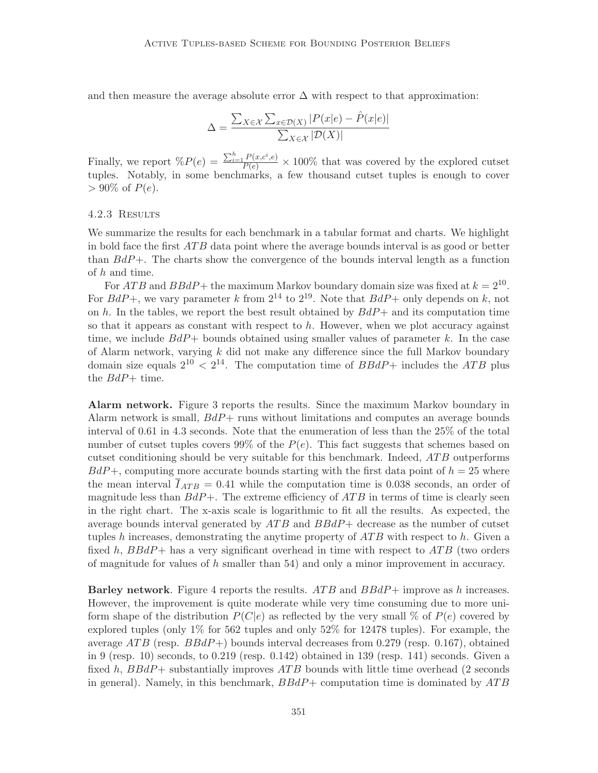and then measure the average absolute error  $\Delta$  with respect to that approximation:

$$
\Delta = \frac{\sum_{X \in \mathcal{X}} \sum_{x \in \mathcal{D}(X)} |P(x|e) - \hat{P}(x|e)|}{\sum_{X \in \mathcal{X}} |\mathcal{D}(X)|}
$$

Finally, we report  $\mathcal{E}(P(e)) = \frac{\sum_{i=1}^{h} P(x, c^i, e)}{P(e)} \times 100\%$  that was covered by the explored cutset tuples. Notably, in some benchmarks, a few thousand cutset tuples is enough to cover  $> 90\%$  of  $P(e)$ .

#### 4.2.3 Results

We summarize the results for each benchmark in a tabular format and charts. We highlight in bold face the first  $ATB$  data point where the average bounds interval is as good or better than  $BdP+$ . The charts show the convergence of the bounds interval length as a function of h and time.

For  $ATB$  and  $BBdP+$  the maximum Markov boundary domain size was fixed at  $k = 2^{10}$ . For  $BdP+$ , we vary parameter k from  $2^{14}$  to  $2^{19}$ . Note that  $BdP+$  only depends on k, not on h. In the tables, we report the best result obtained by  $BdP+$  and its computation time so that it appears as constant with respect to  $h$ . However, when we plot accuracy against time, we include  $BdP+$  bounds obtained using smaller values of parameter k. In the case of Alarm network, varying  $k$  did not make any difference since the full Markov boundary domain size equals  $2^{10} < 2^{14}$ . The computation time of  $BBdP+$  includes the ATB plus the  $BdP+$  time.

Alarm network. Figure 3 reports the results. Since the maximum Markov boundary in Alarm network is small,  $BdP+$  runs without limitations and computes an average bounds interval of 0.61 in 4.3 seconds. Note that the enumeration of less than the 25% of the total number of cutset tuples covers 99% of the  $P(e)$ . This fact suggests that schemes based on cutset conditioning should be very suitable for this benchmark. Indeed, ATB outperforms  $BdP+$ , computing more accurate bounds starting with the first data point of  $h = 25$  where the mean interval  $\overline{I}_{ATB} = 0.41$  while the computation time is 0.038 seconds, an order of magnitude less than  $BdP+$ . The extreme efficiency of  $ATB$  in terms of time is clearly seen in the right chart. The x-axis scale is logarithmic to fit all the results. As expected, the average bounds interval generated by  $ATB$  and  $BBdP+$  decrease as the number of cutset tuples h increases, demonstrating the anytime property of  $ATB$  with respect to h. Given a fixed h,  $BBdP+$  has a very significant overhead in time with respect to  $ATB$  (two orders of magnitude for values of  $h$  smaller than 54) and only a minor improvement in accuracy.

**Barley network**. Figure 4 reports the results.  $ATB$  and  $BBdP+$  improve as h increases. However, the improvement is quite moderate while very time consuming due to more uniform shape of the distribution  $P(C|e)$  as reflected by the very small % of  $P(e)$  covered by explored tuples (only 1% for 562 tuples and only 52% for 12478 tuples). For example, the average  $ATB$  (resp.  $BBdP+$ ) bounds interval decreases from 0.279 (resp. 0.167), obtained in 9 (resp. 10) seconds, to 0.219 (resp. 0.142) obtained in 139 (resp. 141) seconds. Given a fixed h,  $BBdP+$  substantially improves  $ATB$  bounds with little time overhead (2 seconds in general). Namely, in this benchmark,  $BBdP+$  computation time is dominated by  $ATB$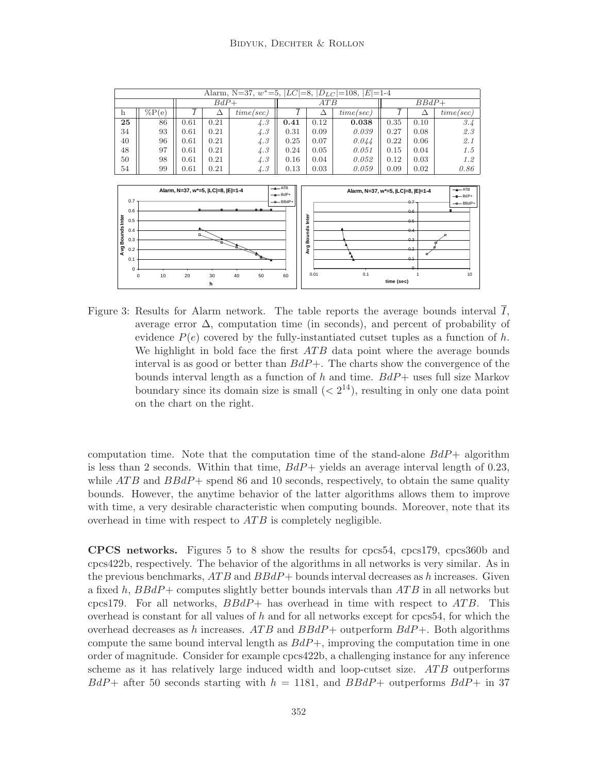

Figure 3: Results for Alarm network. The table reports the average bounds interval I, average error  $\Delta$ , computation time (in seconds), and percent of probability of evidence  $P(e)$  covered by the fully-instantiated cutset tuples as a function of h. We highlight in bold face the first  $ATB$  data point where the average bounds interval is as good or better than  $BdP+$ . The charts show the convergence of the bounds interval length as a function of h and time.  $BdP+$  uses full size Markov boundary since its domain size is small  $( $2^{14}$ ), resulting in only one data point$ on the chart on the right.

computation time. Note that the computation time of the stand-alone  $BdP+$  algorithm is less than 2 seconds. Within that time,  $BdP+$  yields an average interval length of 0.23, while  $ATB$  and  $BBdP+$  spend 86 and 10 seconds, respectively, to obtain the same quality bounds. However, the anytime behavior of the latter algorithms allows them to improve with time, a very desirable characteristic when computing bounds. Moreover, note that its overhead in time with respect to  $ATB$  is completely negligible.

CPCS networks. Figures 5 to 8 show the results for cpcs54, cpcs179, cpcs360b and cpcs422b, respectively. The behavior of the algorithms in all networks is very similar. As in the previous benchmarks,  $ATB$  and  $BBdP+$  bounds interval decreases as h increases. Given a fixed h,  $BBdP+$  computes slightly better bounds intervals than  $ATB$  in all networks but cpcs179. For all networks,  $BBdP+$  has overhead in time with respect to  $ATB$ . This overhead is constant for all values of  $h$  and for all networks except for cpcs54, for which the overhead decreases as h increases. ATB and  $BBdP+$  outperform  $BdP+$ . Both algorithms compute the same bound interval length as  $BdP+$ , improving the computation time in one order of magnitude. Consider for example cpcs422b, a challenging instance for any inference scheme as it has relatively large induced width and loop-cutset size. ATB outperforms  $BdP+$  after 50 seconds starting with  $h = 1181$ , and  $BBdP+$  outperforms  $BdP+$  in 37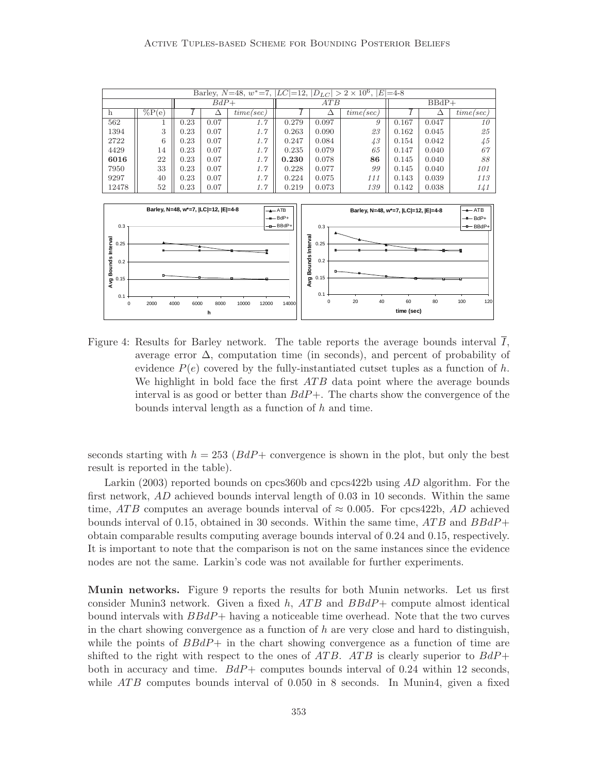

Figure 4: Results for Barley network. The table reports the average bounds interval  $\overline{I}$ , average error  $\Delta$ , computation time (in seconds), and percent of probability of evidence  $P(e)$  covered by the fully-instantiated cutset tuples as a function of h. We highlight in bold face the first  $ATB$  data point where the average bounds interval is as good or better than  $BdP+$ . The charts show the convergence of the bounds interval length as a function of  $h$  and time.

seconds starting with  $h = 253$  ( $BdP+$  convergence is shown in the plot, but only the best result is reported in the table).

Larkin (2003) reported bounds on cpcs360b and cpcs422b using AD algorithm. For the first network, AD achieved bounds interval length of 0.03 in 10 seconds. Within the same time, ATB computes an average bounds interval of  $\approx 0.005$ . For cpcs422b, AD achieved bounds interval of 0.15, obtained in 30 seconds. Within the same time,  $ATB$  and  $BBdP+$ obtain comparable results computing average bounds interval of 0.24 and 0.15, respectively. It is important to note that the comparison is not on the same instances since the evidence nodes are not the same. Larkin's code was not available for further experiments.

Munin networks. Figure 9 reports the results for both Munin networks. Let us first consider Munin3 network. Given a fixed h,  $ATB$  and  $BBdP+$  compute almost identical bound intervals with  $BBdP+$  having a noticeable time overhead. Note that the two curves in the chart showing convergence as a function of  $h$  are very close and hard to distinguish, while the points of  $BBdP+$  in the chart showing convergence as a function of time are shifted to the right with respect to the ones of ATB. ATB is clearly superior to  $BdP+$ both in accuracy and time.  $BdP+$  computes bounds interval of 0.24 within 12 seconds, while  $ATB$  computes bounds interval of 0.050 in 8 seconds. In Munin4, given a fixed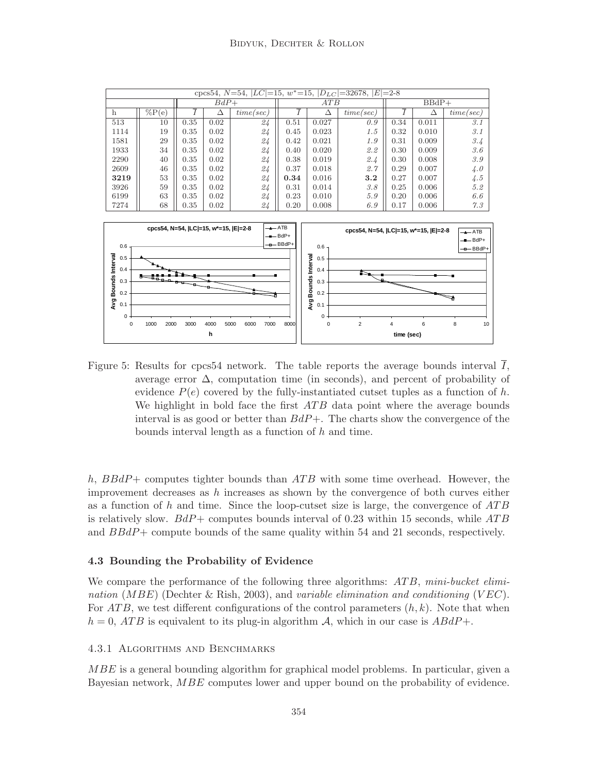

Figure 5: Results for cpcs54 network. The table reports the average bounds interval  $I$ , average error  $\Delta$ , computation time (in seconds), and percent of probability of evidence  $P(e)$  covered by the fully-instantiated cutset tuples as a function of h. We highlight in bold face the first  $ATB$  data point where the average bounds interval is as good or better than  $BdP+$ . The charts show the convergence of the bounds interval length as a function of h and time.

h,  $BBdP+$  computes tighter bounds than  $ATB$  with some time overhead. However, the improvement decreases as h increases as shown by the convergence of both curves either as a function of h and time. Since the loop-cutset size is large, the convergence of  $ATB$ is relatively slow.  $BdP+$  computes bounds interval of 0.23 within 15 seconds, while  $ATB$ and BBdP+ compute bounds of the same quality within 54 and 21 seconds, respectively.

## 4.3 Bounding the Probability of Evidence

We compare the performance of the following three algorithms: ATB, mini-bucket elimination (MBE) (Dechter & Rish, 2003), and variable elimination and conditioning (VEC). For  $ATB$ , we test different configurations of the control parameters  $(h, k)$ . Note that when  $h = 0$ , ATB is equivalent to its plug-in algorithm A, which in our case is  $ABdP+$ .

#### 4.3.1 Algorithms and Benchmarks

MBE is a general bounding algorithm for graphical model problems. In particular, given a Bayesian network, MBE computes lower and upper bound on the probability of evidence.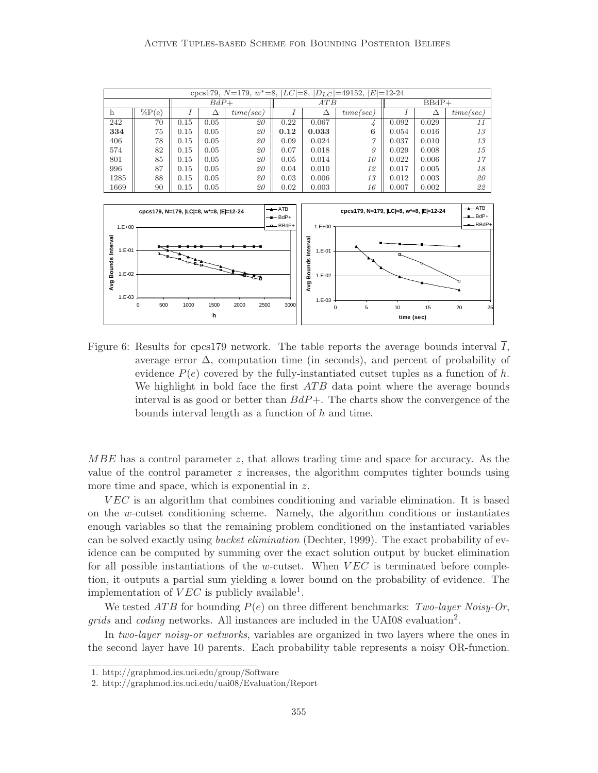



Figure 6: Results for cpcs179 network. The table reports the average bounds interval I, average error  $\Delta$ , computation time (in seconds), and percent of probability of evidence  $P(e)$  covered by the fully-instantiated cutset tuples as a function of h. We highlight in bold face the first  $ATB$  data point where the average bounds interval is as good or better than  $BdP+$ . The charts show the convergence of the bounds interval length as a function of  $h$  and time.

MBE has a control parameter z, that allows trading time and space for accuracy. As the value of the control parameter  $z$  increases, the algorithm computes tighter bounds using more time and space, which is exponential in z.

V EC is an algorithm that combines conditioning and variable elimination. It is based on the w-cutset conditioning scheme. Namely, the algorithm conditions or instantiates enough variables so that the remaining problem conditioned on the instantiated variables can be solved exactly using bucket elimination (Dechter, 1999). The exact probability of evidence can be computed by summing over the exact solution output by bucket elimination for all possible instantiations of the w-cutset. When  $VEC$  is terminated before completion, it outputs a partial sum yielding a lower bound on the probability of evidence. The implementation of  $VEC$  is publicly available<sup>1</sup>.

We tested ATB for bounding  $P(e)$  on three different benchmarks: Two-layer Noisy-Or, grids and coding networks. All instances are included in the UAI08 evaluation<sup>2</sup>.

In two-layer noisy-or networks, variables are organized in two layers where the ones in the second layer have 10 parents. Each probability table represents a noisy OR-function.

<sup>1.</sup> http://graphmod.ics.uci.edu/group/Software

<sup>2.</sup> http://graphmod.ics.uci.edu/uai08/Evaluation/Report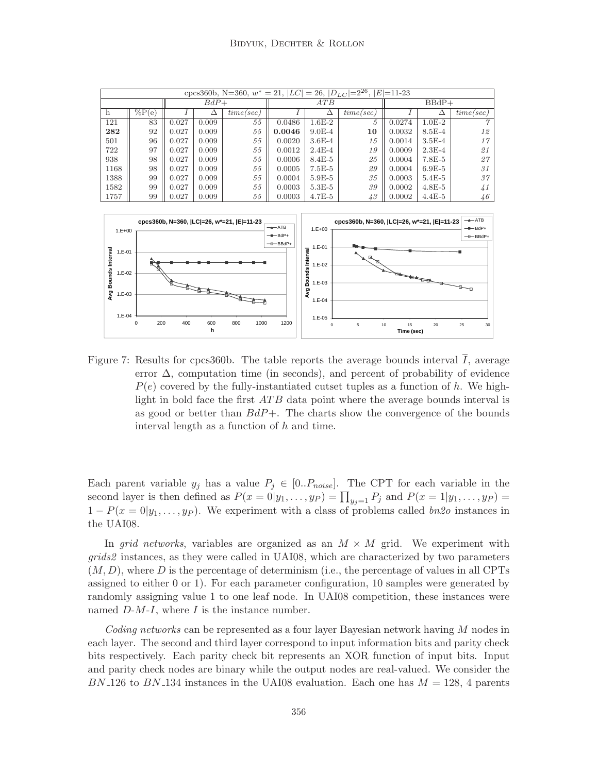|      | cpcs360b, N=360, $w^* = 21$ , $ LC  = 26$ , $ D_{LC}  = 2^{26}$ , $ E  = 11-23$ |       |        |           |        |            |           |         |            |           |  |  |  |  |
|------|---------------------------------------------------------------------------------|-------|--------|-----------|--------|------------|-----------|---------|------------|-----------|--|--|--|--|
|      |                                                                                 |       | $BdP+$ |           |        | ATB        |           | $BBdP+$ |            |           |  |  |  |  |
| h    | $\%P(e)$                                                                        | △     |        | time/sec) |        | $\Delta$   | time/sec) |         | Δ          | time/sec) |  |  |  |  |
| 121  | 83                                                                              | 0.027 | 0.009  | 55        | 0.0486 | $1.6E-2$   | 5         | 0.0274  | $1.0E-2$   |           |  |  |  |  |
| 282  | 92                                                                              | 0.027 | 0.009  | 55        | 0.0046 | $9.0E - 4$ | 10        | 0.0032  | $8.5E-4$   | 12        |  |  |  |  |
| 501  | 96                                                                              | 0.027 | 0.009  | 55        | 0.0020 | $3.6E-4$   | 15        | 0.0014  | $3.5E-4$   | 17        |  |  |  |  |
| 722  | 97                                                                              | 0.027 | 0.009  | 55        | 0.0012 | $2.4E-4$   | 19        | 0.0009  | $2.3E-4$   | 21        |  |  |  |  |
| 938  | 98                                                                              | 0.027 | 0.009  | 55        | 0.0006 | $8.4E-5$   | 25        | 0.0004  | $7.8E-5$   | 27        |  |  |  |  |
| 1168 | 98                                                                              | 0.027 | 0.009  | 55        | 0.0005 | $7.5E-5$   | 29        | 0.0004  | $6.9E-5$   | 31        |  |  |  |  |
| 1388 | 99                                                                              | 0.027 | 0.009  | 55        | 0.0004 | $5.9E-5$   | 35        | 0.0003  | $5.4E-5$   | 37        |  |  |  |  |
| 1582 | 99                                                                              | 0.027 | 0.009  | 55        | 0.0003 | $5.3E-5$   | 39        | 0.0002  | $4.8E - 5$ | 41        |  |  |  |  |
| 1757 | 99                                                                              | 0.027 | 0.009  | 55        | 0.0003 | $4.7E-5$   | 43        | 0.0002  | $4.4E-5$   | 46        |  |  |  |  |



Figure 7: Results for cpcs360b. The table reports the average bounds interval  $\overline{I}$ , average error  $\Delta$ , computation time (in seconds), and percent of probability of evidence  $P(e)$  covered by the fully-instantiated cutset tuples as a function of h. We highlight in bold face the first  $ATB$  data point where the average bounds interval is as good or better than  $BdP+$ . The charts show the convergence of the bounds interval length as a function of  $h$  and time.

Each parent variable  $y_j$  has a value  $P_j \in [0..P_{noise}]$ . The CPT for each variable in the second layer is then defined as  $P(x=0|y_1,\ldots,y_P) = \prod_{y_j=1} P_j$  and  $P(x=1|y_1,\ldots,y_P) =$  $1 - P(x = 0|y_1, \ldots, y_p)$ . We experiment with a class of problems called bn2o instances in the UAI08.

In grid networks, variables are organized as an  $M \times M$  grid. We experiment with grids2 instances, as they were called in UAI08, which are characterized by two parameters  $(M, D)$ , where D is the percentage of determinism (i.e., the percentage of values in all CPTs assigned to either 0 or 1). For each parameter configuration, 10 samples were generated by randomly assigning value 1 to one leaf node. In UAI08 competition, these instances were named  $D-M-I$ , where I is the instance number.

Coding networks can be represented as a four layer Bayesian network having M nodes in each layer. The second and third layer correspond to input information bits and parity check bits respectively. Each parity check bit represents an XOR function of input bits. Input and parity check nodes are binary while the output nodes are real-valued. We consider the  $BN_126$  to  $BN_134$  instances in the UAI08 evaluation. Each one has  $M = 128$ , 4 parents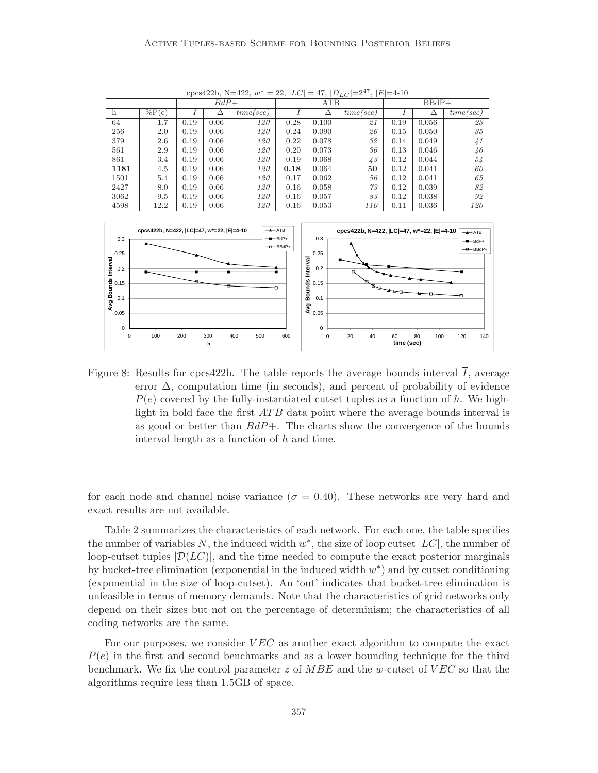|                                                                                                                                  |                     |      |        |            |                       |       | cpcs422b, N=422, $w^* = 22$ , $ LC  = 47$ , $ D_{LC}  = 2^{47}$ , $ E  = 4$ -10 |             |       |                     |
|----------------------------------------------------------------------------------------------------------------------------------|---------------------|------|--------|------------|-----------------------|-------|---------------------------------------------------------------------------------|-------------|-------|---------------------|
|                                                                                                                                  |                     |      | $BdP+$ |            | $BBdP+$<br><b>ATB</b> |       |                                                                                 |             |       |                     |
| h                                                                                                                                | $\overline{\%P}(e)$ |      | Δ      | time/sec)  |                       | Δ     | time/sec)                                                                       | $\mathbf r$ | Δ     | time/sec)           |
| 64                                                                                                                               | 1.7                 | 0.19 | 0.06   | <i>120</i> | 0.28                  | 0.100 | 21                                                                              | 0.19        | 0.056 | 23                  |
| 256                                                                                                                              | 2.0                 | 0.19 | 0.06   | 120        | 0.24                  | 0.090 | 26                                                                              | 0.15        | 0.050 | 35                  |
| 379                                                                                                                              | 2.6                 | 0.19 | 0.06   | 120        | 0.22                  | 0.078 | 32                                                                              | 0.14        | 0.049 | 41                  |
| 561                                                                                                                              | 2.9                 | 0.19 | 0.06   | <i>120</i> | 0.20                  | 0.073 | 36                                                                              | 0.13        | 0.046 | 46                  |
| 861                                                                                                                              | 3.4                 | 0.19 | 0.06   | 120        | 0.19                  | 0.068 | 43                                                                              | 0.12        | 0.044 | 54                  |
| 1181                                                                                                                             | 4.5                 | 0.19 | 0.06   | 120        | 0.18                  | 0.064 | 50                                                                              | 0.12        | 0.041 | 60                  |
| 1501                                                                                                                             | 5.4                 | 0.19 | 0.06   | 120        | 0.17                  | 0.062 | 56                                                                              | 0.12        | 0.041 | 65                  |
| 2427                                                                                                                             | 8.0                 | 0.19 | 0.06   | <i>120</i> | 0.16                  | 0.058 | 73                                                                              | 0.12        | 0.039 | 82                  |
| 3062                                                                                                                             | 9.5                 | 0.19 | 0.06   | <i>120</i> | 0.16                  | 0.057 | 83                                                                              | 0.12        | 0.038 | 92                  |
| 4598                                                                                                                             | 12.2                | 0.19 | 0.06   | <i>120</i> | 0.16                  | 0.053 | 110                                                                             | 0.11        | 0.036 | <i>120</i>          |
|                                                                                                                                  |                     |      |        |            |                       |       |                                                                                 |             |       |                     |
| $\rightarrow$ ATB<br>cpcs422b, N=422,  LC =47, w*=22,  E =4-10<br>cpcs422b, N=422,  LC =47, w*=22,  E =4-10<br>$\rightarrow$ ATB |                     |      |        |            |                       |       |                                                                                 |             |       |                     |
| 0.3                                                                                                                              |                     |      |        |            | $-$ -BdP+             | 0.3   |                                                                                 |             |       | $-$ BdP+            |
| 0.25                                                                                                                             |                     |      |        |            | $\leftarrow$ BBdP+    | 0.25  |                                                                                 |             |       | $\rightarrow$ BBdP+ |



Figure 8: Results for cpcs422b. The table reports the average bounds interval  $\overline{I}$ , average error  $\Delta$ , computation time (in seconds), and percent of probability of evidence  $P(e)$  covered by the fully-instantiated cutset tuples as a function of h. We highlight in bold face the first  $ATB$  data point where the average bounds interval is as good or better than  $BdP+$ . The charts show the convergence of the bounds interval length as a function of  $h$  and time.

for each node and channel noise variance ( $\sigma = 0.40$ ). These networks are very hard and exact results are not available.

Table 2 summarizes the characteristics of each network. For each one, the table specifies the number of variables N, the induced width  $w^*$ , the size of loop cutset  $|LC|$ , the number of loop-cutset tuples  $|\mathcal{D}(LC)|$ , and the time needed to compute the exact posterior marginals by bucket-tree elimination (exponential in the induced width  $w^*$ ) and by cutset conditioning (exponential in the size of loop-cutset). An 'out' indicates that bucket-tree elimination is unfeasible in terms of memory demands. Note that the characteristics of grid networks only depend on their sizes but not on the percentage of determinism; the characteristics of all coding networks are the same.

For our purposes, we consider  $VEC$  as another exact algorithm to compute the exact  $P(e)$  in the first and second benchmarks and as a lower bounding technique for the third benchmark. We fix the control parameter z of  $MBE$  and the w-cutset of  $VEC$  so that the algorithms require less than 1.5GB of space.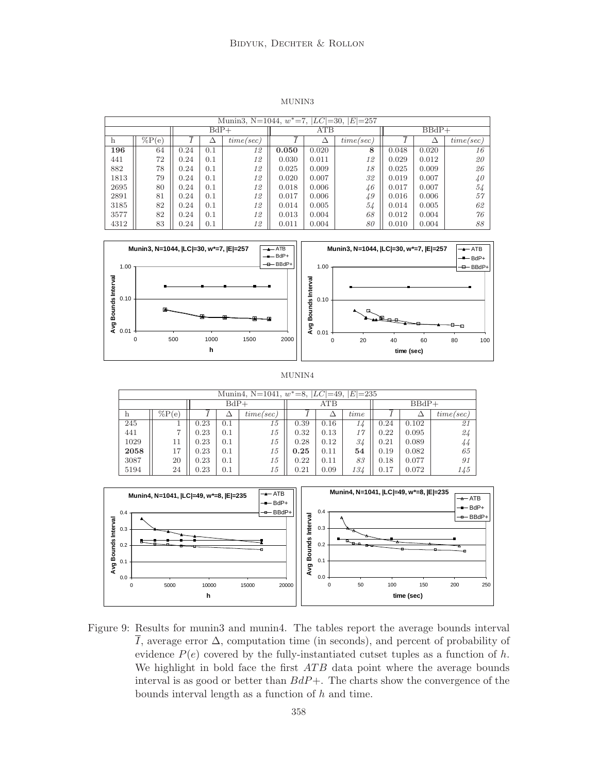MUNIN3

|      | Munin3, N=1044, $w^*$ =7, $ LC $ =30, $ E $ =257 |      |        |           |       |       |           |         |       |           |  |  |  |  |
|------|--------------------------------------------------|------|--------|-----------|-------|-------|-----------|---------|-------|-----------|--|--|--|--|
|      |                                                  |      | $BdP+$ |           |       | ATB   |           | $BBdP+$ |       |           |  |  |  |  |
| h    | $\%P(e)$                                         |      |        | time/sec) |       | Δ     | time/sec) |         | Δ     | time/sec) |  |  |  |  |
| 196  | 64                                               | 0.24 | 0.1    | 12        | 0.050 | 0.020 | 8         | 0.048   | 0.020 | 16        |  |  |  |  |
| 441  | 72                                               | 0.24 | 0.1    | 12        | 0.030 | 0.011 | 12        | 0.029   | 0.012 | 20        |  |  |  |  |
| 882  | 78                                               | 0.24 | 0.1    | 12        | 0.025 | 0.009 | 18        | 0.025   | 0.009 | 26        |  |  |  |  |
| 1813 | 79                                               | 0.24 | 0.1    | 12        | 0.020 | 0.007 | 32        | 0.019   | 0.007 | 40        |  |  |  |  |
| 2695 | 80                                               | 0.24 | 0.1    | 12        | 0.018 | 0.006 | 46        | 0.017   | 0.007 | 54        |  |  |  |  |
| 2891 | 81                                               | 0.24 | 0.1    | 12        | 0.017 | 0.006 | 49        | 0.016   | 0.006 | 57        |  |  |  |  |
| 3185 | 82                                               | 0.24 | 0.1    | 12        | 0.014 | 0.005 | 54        | 0.014   | 0.005 | 62        |  |  |  |  |
| 3577 | 82                                               | 0.24 | 0.1    | 12        | 0.013 | 0.004 | 68        | 0.012   | 0.004 | 76        |  |  |  |  |
| 4312 | 83                                               | 0.24 | 0.1    | 12        | 0.011 | 0.004 | 80        | 0.010   | 0.004 | 88        |  |  |  |  |



MUNIN4

|      | Munin4, N=1041, $w^* = 8$ , $ LC  = 49$ , $ E  = 235$ |      |        |           |      |      |      |         |       |           |  |  |  |  |
|------|-------------------------------------------------------|------|--------|-----------|------|------|------|---------|-------|-----------|--|--|--|--|
|      |                                                       |      | $BdP+$ |           |      | ATB  |      | $BBdP+$ |       |           |  |  |  |  |
| h    | $\%P(e)$                                              |      |        | time/sec) |      |      | time |         |       | time/sec) |  |  |  |  |
| 245  |                                                       | 0.23 | 0.1    | 15        | 0.39 | 0.16 | 14   | 0.24    | 0.102 | 21        |  |  |  |  |
| 441  |                                                       | 0.23 | 0.1    | 15        | 0.32 | 0.13 | 17   | 0.22    | 0.095 | 24        |  |  |  |  |
| 1029 | 11                                                    | 0.23 | 0.1    | 15        | 0.28 | 0.12 | 34   | 0.21    | 0.089 | 44        |  |  |  |  |
| 2058 | 17                                                    | 0.23 | 0.1    | 15        | 0.25 | 0.11 | 54   | 0.19    | 0.082 | 65        |  |  |  |  |
| 3087 | 20                                                    | 0.23 | 0.1    | 15        | 0.22 | 0.11 | 83   | 0.18    | 0.077 | 91        |  |  |  |  |
| 5194 | 24                                                    | 0.23 | 0.1    | 15        | 0.21 | 0.09 | 134  | 0.17    | 0.072 | 145       |  |  |  |  |



Figure 9: Results for munin3 and munin4. The tables report the average bounds interval I, average error  $\Delta$ , computation time (in seconds), and percent of probability of evidence  $P(e)$  covered by the fully-instantiated cutset tuples as a function of h. We highlight in bold face the first  $ATB$  data point where the average bounds interval is as good or better than  $BdP+$ . The charts show the convergence of the bounds interval length as a function of  $h$  and time.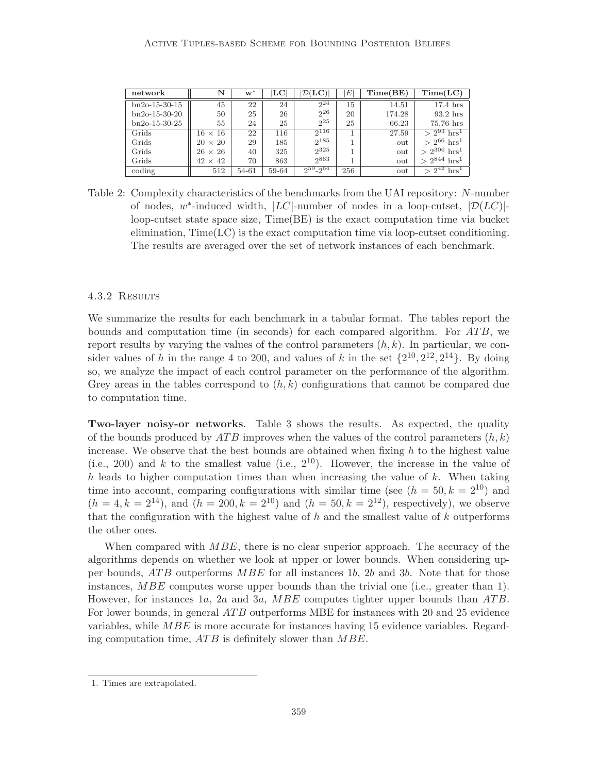| network         | N              | $w^*$ | LC    | $\mathcal{D}(\mathbf{LC})$ | Æ   | Time(BE) | Time(LC)                    |
|-----------------|----------------|-------|-------|----------------------------|-----|----------|-----------------------------|
| $bn2o-15-30-15$ | 45             | 22    | 24    | $2^{24}$                   | 15  | 14.51    | $17.4$ hrs                  |
| $bn2o-15-30-20$ | 50             | 25    | 26    | $2^{26}$                   | 20  | 174.28   | $93.2$ hrs                  |
| $bn2o-15-30-25$ | 55             | 24    | 25    | $2^{25}$                   | 25  | 66.23    | 75.76 hrs                   |
| Grids           | $16 \times 16$ | 22    | 116   | $2^{116}$                  |     | 27.59    | $> 2^{93}$ hrs <sup>1</sup> |
| Grids           | $20 \times 20$ | 29    | 185   | 2185                       |     | out      | $> 2^{66}$ hrs <sup>1</sup> |
| Grids           | $26 \times 26$ | 40    | 325   | $2^{325}$                  |     | out      | $2^{306}$ hrs <sup>1</sup>  |
| Grids           | $42 \times 42$ | 70    | 863   | 2863                       |     | out      | $2^{844} \text{ hrs}^1$     |
| coding          | 512            | 54-61 | 59-64 | $2^{59} - 2^{64}$          | 256 | out      | $> 2^{42}$ hrs <sup>1</sup> |

Table 2: Complexity characteristics of the benchmarks from the UAI repository: N-number of nodes, w\*-induced width,  $|LC|$ -number of nodes in a loop-cutset,  $|\mathcal{D}(LC)|$ loop-cutset state space size, Time(BE) is the exact computation time via bucket elimination,  $Time(LC)$  is the exact computation time via loop-cutset conditioning. The results are averaged over the set of network instances of each benchmark.

#### 4.3.2 Results

We summarize the results for each benchmark in a tabular format. The tables report the bounds and computation time (in seconds) for each compared algorithm. For  $ATB$ , we report results by varying the values of the control parameters  $(h, k)$ . In particular, we consider values of h in the range 4 to 200, and values of k in the set  $\{2^{10}, 2^{12}, 2^{14}\}$ . By doing so, we analyze the impact of each control parameter on the performance of the algorithm. Grey areas in the tables correspond to  $(h, k)$  configurations that cannot be compared due to computation time.

Two-layer noisy-or networks. Table 3 shows the results. As expected, the quality of the bounds produced by  $ATB$  improves when the values of the control parameters  $(h, k)$ increase. We observe that the best bounds are obtained when fixing  $h$  to the highest value (i.e., 200) and k to the smallest value (i.e.,  $2^{10}$ ). However, the increase in the value of h leads to higher computation times than when increasing the value of  $k$ . When taking time into account, comparing configurations with similar time (see  $(h = 50, k = 2^{10})$ ) and  $(h = 4, k = 2^{14})$ , and  $(h = 200, k = 2^{10})$  and  $(h = 50, k = 2^{12})$ , respectively), we observe that the configuration with the highest value of  $h$  and the smallest value of  $k$  outperforms the other ones.

When compared with  $MBE$ , there is no clear superior approach. The accuracy of the algorithms depends on whether we look at upper or lower bounds. When considering upper bounds,  $ATB$  outperforms  $MBE$  for all instances 1b, 2b and 3b. Note that for those instances,  $MBE$  computes worse upper bounds than the trivial one (i.e., greater than 1). However, for instances 1a, 2a and 3a,  $MBE$  computes tighter upper bounds than  $ATB$ . For lower bounds, in general ATB outperforms MBE for instances with 20 and 25 evidence variables, while MBE is more accurate for instances having 15 evidence variables. Regarding computation time,  $ATB$  is definitely slower than  $MBE$ .

<sup>1.</sup> Times are extrapolated.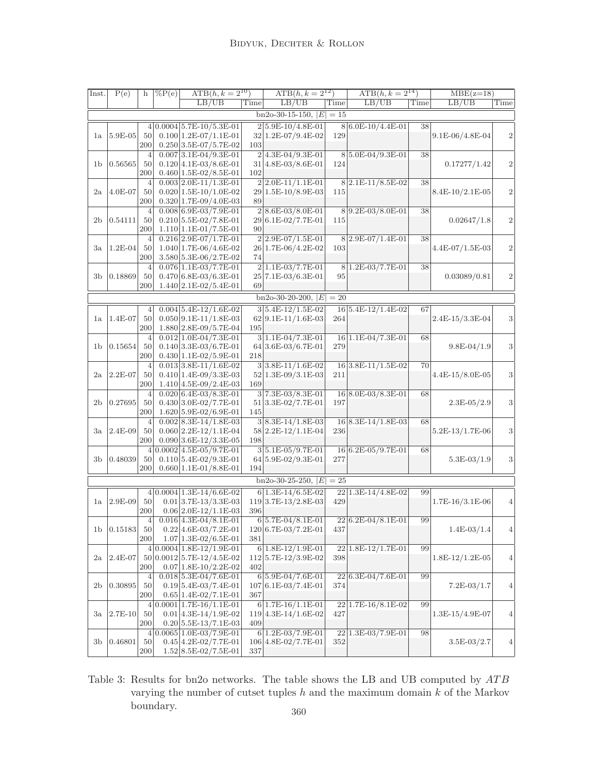| Inst.          | P(e)        | $\mathbf{h}$   | $\sqrt{\%P(e)}$ | $ATB(h, k = 2^{10})$                                  |      | $\overline{\text{ATB}(h, k=2^{12})}$      |       | $ATB(h, k = 2^{14})$ |      | $MBE(z=18)$       |                  |
|----------------|-------------|----------------|-----------------|-------------------------------------------------------|------|-------------------------------------------|-------|----------------------|------|-------------------|------------------|
|                |             |                |                 | LB/UB                                                 | Time | LB/UB                                     | Time  | LB/UB                | Time | LB/UB             | Time             |
|                |             |                |                 |                                                       |      | $bn2o-30-15-150,  E $                     | $=15$ |                      |      |                   |                  |
|                |             |                |                 |                                                       |      |                                           |       |                      |      |                   |                  |
|                | $5.9E-05$   | 50             |                 | $4 0.0004 5.7E-10/5.3E-01$<br>$0.100 1.2E-07/1.1E-01$ |      | $2 5.9E-10/4.8E-01$<br>32 1.2E-07/9.4E-02 | 129   | 8 6.0E-10/4.4E-01    | 38   | 9.1E-06/4.8E-04   | $\boldsymbol{2}$ |
| la             |             | 200            |                 | $0.250 3.5E-07/5.7E-02$                               | 103  |                                           |       |                      |      |                   |                  |
|                |             | 4              |                 | $0.007$ 3.1E-04/9.3E-01                               |      | $2 4.3E-04/9.3E-01$                       |       | 85.0E-04/9.3E-01     | 38   |                   |                  |
| 1 <sub>b</sub> | 0.56565     | 50             |                 | $0.120   4.1E - 03/8.6E - 01$                         |      | $31 4.8E-03/8.6E-01$                      | 124   |                      |      | 0.17277/1.42      | $\overline{2}$   |
|                |             | 200            |                 | $0.460 1.5E-02/8.5E-01$                               | 102  |                                           |       |                      |      |                   |                  |
|                |             | $\overline{4}$ |                 | $0.003 2.0E-11/1.3E-01$                               |      | $2 2.0E-11/1.1E-01$                       |       | 82.1E-11/8.5E-02     | 38   |                   |                  |
| $_{2a}$        | $4.0E-07$   | 50             |                 | $0.020 1.5E-10/1.0E-02$                               |      | 29 1.5E-10/8.9E-03                        | 115   |                      |      | 8.4E-10/2.1E-05   | $\,2$            |
|                |             | 200            |                 | $0.320 1.7E-09/4.0E-03$                               | 89   |                                           |       |                      |      |                   |                  |
|                |             | $\overline{4}$ |                 | $0.008 \, 6.9E - 03/7.9E - 01$                        |      | $2 8.6E-03/8.0E-01$                       |       | 89.2E-03/8.0E-01     | 38   |                   |                  |
| $_{\rm 2b}$    | 0.54111     | 50             |                 | $0.210 5.5E-02/7.8E-01$                               |      | 29 6.1E-02/7.7E-01                        | 115   |                      |      | 0.02647/1.8       | $\boldsymbol{2}$ |
|                |             | 200            |                 | $1.110 1.1E-01/7.5E-01$                               | 90   |                                           |       |                      |      |                   |                  |
|                |             | $\overline{4}$ |                 | $0.216$ 2.9E-07/1.7E-01                               |      | $2 2.9E-07/1.5E-01$                       |       | $8 2.9E-07/1.4E-01$  | 38   |                   |                  |
| Зa             | $1.2E-04$   | 50             |                 | $1.040 1.7E-06/4.6E-02$                               |      | 26 1.7E-06/4.2E-02                        | 103   |                      |      | 4.4E-07/1.5E-03   | $\,2$            |
|                |             | 200            |                 | 3.580 5.3E-06/2.7E-02                                 | 74   |                                           |       |                      |      |                   |                  |
|                |             | $\overline{4}$ |                 | $0.076 1.1E-03/7.7E-01$                               |      | $2 1.1E-03/7.7E-01$                       |       | $8 1.2E-03/7.7E-01$  | 38   |                   |                  |
| 3b             | 0.18869     | 50             |                 | $0.470 6.8E-03/6.3E-01$                               |      | 25 7.1E-03/6.3E-01                        | 95    |                      |      | 0.03089/0.81      | $\boldsymbol{2}$ |
|                |             | 200            |                 | $1.440 2.1E-02/5.4E-01$                               | 69   |                                           |       |                      |      |                   |                  |
|                |             |                |                 |                                                       |      | $bn2o-30-20-200,  E $                     | $=20$ |                      |      |                   |                  |
|                |             |                |                 |                                                       |      |                                           |       |                      |      |                   |                  |
|                |             | 4              |                 | $0.004$ 5.4E-12/1.6E-02                               |      | $3 5.4E-12/1.5E-02$                       |       | 16 5.4E-12/1.4E-02   | 67   |                   |                  |
| la             | 1.4E-07     | 50             |                 | $0.050 9.1E-11/1.8E-03$                               |      | $62 9.1E-11/1.6E-03$                      | 264   |                      |      | 2.4E-15/3.3E-04   | 3                |
|                |             | 200            |                 | $1.880 2.8E-09/5.7E-04$                               | 195  |                                           |       |                      |      |                   |                  |
|                |             | $\overline{4}$ |                 | $0.012 1.0E-04/7.3E-01$                               |      | $3 1.1E-04/7.3E-01$                       |       | 16 1.1E-04/7.3E-01   | 68   |                   |                  |
| 1 <sub>b</sub> | 0.15654     | 50<br>200      |                 | $0.140 3.3E-03/6.7E-01$<br>$0.430 1.1E-02/5.9E-01$    | 218  | 64 3.6E-03/6.7E-01                        | 279   |                      |      | $9.8E-04/1.9$     | 3                |
|                |             | 4              |                 | $0.013$ 3.8E-11/1.6E-02                               |      | $3 3.8E-11/1.6E-02$                       |       | 16 3.8E-11/1.5E-02   | 70   |                   |                  |
|                | $2.2E-07$   | 50             |                 |                                                       |      | $52 1.3E-09/3.1E-03$                      | 211   |                      |      |                   | 3                |
| 2a             |             | 200            |                 | $0.410 1.4E-09/3.3E-03$<br>$1.410 4.5E-09/2.4E-03$    | 169  |                                           |       |                      |      | 4.4E-15/8.0E-05   |                  |
|                |             | $\overline{4}$ |                 | $0.020 6.4E-03/8.3E-01$                               |      | $3 7.3E-03/8.3E-01$                       |       | 16 8.0E-03/8.3E-01   | 68   |                   |                  |
| $_{\rm 2b}$    | 0.27695     | 50             |                 | $0.430 3.0E-02/7.7E-01$                               |      | $51 3.3E-02/7.7E-01$                      | 197   |                      |      | $2.3E-05/2.9$     | 3                |
|                |             | 200            |                 | 1.620 5.9E-02/6.9E-01                                 | 145  |                                           |       |                      |      |                   |                  |
|                |             | 4              |                 | $0.002$ 8.3E-14/1.8E-03                               |      | $3 8.3E-14/1.8E-03$                       |       | $16 8.3E-14/1.8E-03$ | 68   |                   |                  |
| Зa             | $ 2.4E-09$  | 50             |                 | $0.060$  2.2E-12/1.1E-04                              |      | 58 2.2E-12/1.1E-04                        | 236   |                      |      | $5.2E-13/1.7E-06$ | 3                |
|                |             | 200            |                 | $0.090 3.6E-12/3.3E-05$                               | 198  |                                           |       |                      |      |                   |                  |
|                |             |                |                 | $4 0.0002 4.5E-05/9.7E-01$                            |      | $3 5.1E-05/9.7E-01$                       |       | $16 6.2E-05/9.7E-01$ | 68   |                   |                  |
| 3b             | 0.48039     | 50             |                 | $0.110 5.4E-02/9.3E-01$                               |      | 64 5.9E-02/9.3E-01                        | 277   |                      |      | $5.3E-03/1.9$     | 3                |
|                |             | 200            |                 | $0.660 1.1E-01/8.8E-01$                               | 194  |                                           |       |                      |      |                   |                  |
|                |             |                |                 |                                                       |      |                                           |       |                      |      |                   |                  |
|                |             |                |                 |                                                       |      | $bn2o-30-25-250,  E $                     | $=25$ |                      |      |                   |                  |
|                |             |                |                 | $4 0.0004 1.3E-14/6.6E-02$                            |      | $6 1.3E-14/6.5E-02$                       |       | 22 1.3E-14/4.8E-02   | 99   |                   |                  |
| la             | $ 2.9E-09$  | 50             |                 | $0.01$ 3.7E-13/3.3E-03                                |      | 119 3.7E-13/2.8E-03                       | 429   |                      |      | 1.7E-16/3.1E-06   | $\overline{4}$   |
|                |             | 200            |                 | $0.06 2.0E-12/1.1E-03$                                | 396  |                                           |       |                      |      |                   |                  |
|                |             | 4              |                 | $0.016 4.3E-04/8.1E-01$                               |      | $6 5.7E-04/8.1E-01$                       |       | 22 6.2E-04/8.1E-01   | 99   |                   |                  |
| 1 <sub>b</sub> | 0.15183     | 50             |                 | $0.22 4.6E-03/7.2E-01$                                |      | 120 6.7E-03/7.2E-01                       | 437   |                      |      | $1.4E-03/1.4$     | $\left 4\right $ |
|                |             | 200            |                 | $1.07 1.3E-02/6.5E-01$                                | 381  |                                           |       |                      |      |                   |                  |
|                |             |                |                 | $4 0.0004 1.8E-12/1.9E-01$                            |      | $6 1.8E-12/1.9E-01$                       |       | 22 1.8E-12/1.7E-01   | 99   |                   |                  |
| 2a             | $2.4E-07$   | 50             |                 | $[0.0012]$ 5.7E-12/4.5E-02                            |      | $112 5.7E-12/3.9E-02$                     | 398   |                      |      | 1.8E-12/1.2E-05   | $\overline{4}$   |
|                |             | 200            |                 | $0.07 1.8E-10/2.2E-02$                                | 402  |                                           |       |                      |      |                   |                  |
|                |             | $\overline{4}$ |                 | $0.018$ 5.3E-04/7.6E-01                               |      | $6 5.9E-04/7.6E-01$                       | 22    | $6.3E-04/7.6E-01$    | 99   |                   |                  |
| $_{\rm 2b}$    | 0.30895     | 50             |                 | $0.19 5.4E-03/7.4E-01$                                |      | 107 6.1E-03/7.4E-01                       | 374   |                      |      | $7.2E-03/1.7$     | 4                |
|                |             | 200            |                 | $0.65 1.4E-02/7.1E-01$                                | 367  |                                           |       |                      |      |                   |                  |
|                |             |                |                 | $4 0.0001 1.7E-16/1.1E-01$                            |      | $6 1.7E-16/1.1E-01$                       |       | 22 1.7E-16/8.1E-02   | 99   |                   |                  |
| Зa             | $ 2.7E-10 $ | 50             |                 | $0.01 4.3E-14/1.9E-02$                                |      | 119 4.3E-14/1.6E-02                       | 427   |                      |      | 1.3E-15/4.9E-07   | 4                |
|                |             | 200            |                 | $0.20 5.5E-13/7.1E-03$                                | 409  |                                           |       |                      |      |                   |                  |
|                |             |                |                 | $4 0.0065 1.0E-03/7.9E-01$                            |      | $6 1.2E-03/7.9E-01$                       |       | 22 1.3E-03/7.9E-01   | 98   |                   |                  |
| 3b             | 0.46801     | 50             |                 | $0.45 4.2E-02/7.7E-01$                                |      | 106 4.8E-02/7.7E-01                       | 352   |                      |      | $3.5E-03/2.7$     | $\overline{4}$   |
|                |             | 200            |                 | $1.52 8.5E-02/7.5E-01$                                | 337  |                                           |       |                      |      |                   |                  |

Table 3: Results for bn2o networks. The table shows the LB and UB computed by  $ATB$ varying the number of cutset tuples  $h$  and the maximum domain  $k$  of the Markov  $b$  boundary.  $$360\,$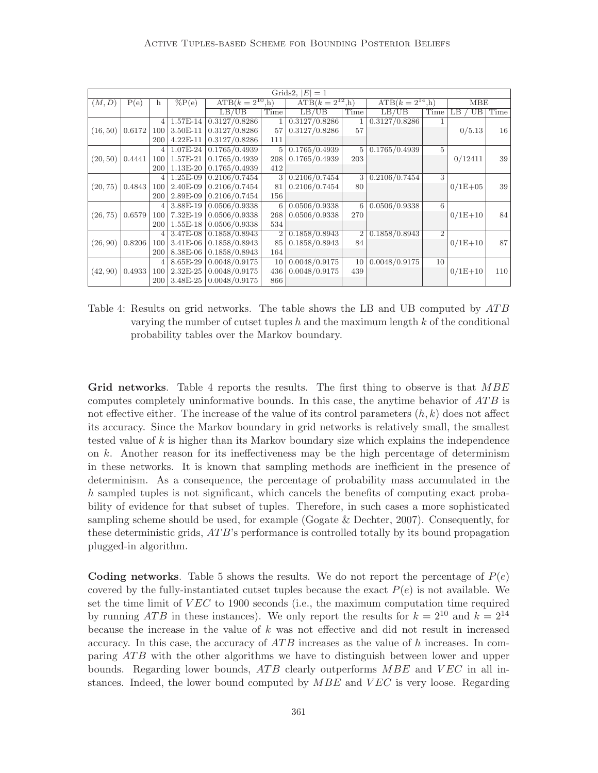|          |        |     |            |                      |      | Grids2, $ E $<br>$=1$ |                |                      |                |             |        |
|----------|--------|-----|------------|----------------------|------|-----------------------|----------------|----------------------|----------------|-------------|--------|
| (M, D)   | P(e)   | h   | $\%P(e)$   | $ATB(k = 2^{10}, h)$ |      | $ATB(k = 2^{12}, h)$  |                | $ATB(k = 2^{14}, h)$ |                | <b>MBE</b>  |        |
|          |        |     |            | LB/UB                | Time | LB/UB                 | Time           | LB/UB                | Time           | UB<br>LB.   | Time   |
|          |        | 4   | 1.57E-14   | 0.3127/0.8286        |      | 0.3127/0.8286         | 1              | 0.3127/0.8286        |                |             |        |
| (16, 50) | 0.6172 | 100 | 3.50E-11   | 0.3127/0.8286        | 57   | 0.3127/0.8286         | 57             |                      |                | 0/5.13      | $16\,$ |
|          |        | 200 | $4.22E-11$ | 0.3127/0.8286        | 111  |                       |                |                      |                |             |        |
|          |        | 4   | $1.07E-24$ | 0.1765/0.4939        | 5    | 0.1765/0.4939         | 5              | 0.1765/0.4939        | 5              |             |        |
| (20, 50) | 0.4441 | 100 | 1.57E-21   | 0.1765/0.4939        | 208  | 0.1765/0.4939         | 203            |                      |                | 0/12411     | 39     |
|          |        | 200 | 1.13E-20   | 0.1765/0.4939        | 412  |                       |                |                      |                |             |        |
|          |        | 4   | $1.25E-09$ | 0.2106/0.7454        | 3    | 0.2106/0.7454         | 3              | 0.2106/0.7454        | 3              |             |        |
| (20, 75) | 0.4843 | 100 | 2.40E-09   | 0.2106/0.7454        | 81   | 0.2106/0.7454         | 80             |                      |                | $0/1E + 05$ | 39     |
|          |        | 200 | 2.89E-09   | 0.2106/0.7454        | 156  |                       |                |                      |                |             |        |
|          |        | 4   | $3.88E-19$ | 0.0506/0.9338        | 6    | 0.0506/0.9338         | 6              | 0.0506/0.9338        | 6              |             |        |
| (26, 75) | 0.6579 | 100 | $7.32E-19$ | 0.0506/0.9338        | 268  | 0.0506/0.9338         | 270            |                      |                | $0/1E+10$   | 84     |
|          |        | 200 | $1.55E-18$ | 0.0506/0.9338        | 534  |                       |                |                      |                |             |        |
|          |        | 4   | $3.47E-08$ | 0.1858/0.8943        | 2    | 0.1858/0.8943         | $\overline{2}$ | 0.1858/0.8943        | $\overline{2}$ |             |        |
| (26, 90) | 0.8206 | 100 | 3.41E-06   | 0.1858/0.8943        | 85   | 0.1858/0.8943         | 84             |                      |                | $0/1E+10$   | 87     |
|          |        | 200 | $8.38E-06$ | 0.1858/0.8943        | 164  |                       |                |                      |                |             |        |
|          |        | 4   | $8.65E-29$ | 0.0048/0.9175        | 10   | 0.0048/0.9175         | 10             | 0.0048/0.9175        | 10             |             |        |
| (42, 90) | 0.4933 | 100 | $2.32E-25$ | 0.0048/0.9175        | 436  | 0.0048/0.9175         | 439            |                      |                | $0/1E+10$   | 110    |
|          |        | 200 | 3.48E-25   | 0.0048/0.9175        | 866  |                       |                |                      |                |             |        |

Table 4: Results on grid networks. The table shows the LB and UB computed by  $ATB$ varying the number of cutset tuples  $h$  and the maximum length  $k$  of the conditional probability tables over the Markov boundary.

Grid networks. Table 4 reports the results. The first thing to observe is that MBE computes completely uninformative bounds. In this case, the anytime behavior of  $ATB$  is not effective either. The increase of the value of its control parameters  $(h, k)$  does not affect its accuracy. Since the Markov boundary in grid networks is relatively small, the smallest tested value of  $k$  is higher than its Markov boundary size which explains the independence on  $k$ . Another reason for its ineffectiveness may be the high percentage of determinism in these networks. It is known that sampling methods are inefficient in the presence of determinism. As a consequence, the percentage of probability mass accumulated in the h sampled tuples is not significant, which cancels the benefits of computing exact probability of evidence for that subset of tuples. Therefore, in such cases a more sophisticated sampling scheme should be used, for example (Gogate  $&$  Dechter, 2007). Consequently, for these deterministic grids, AT B's performance is controlled totally by its bound propagation plugged-in algorithm.

**Coding networks**. Table 5 shows the results. We do not report the percentage of  $P(e)$ covered by the fully-instantiated cutset tuples because the exact  $P(e)$  is not available. We set the time limit of  $VEC$  to 1900 seconds (i.e., the maximum computation time required by running ATB in these instances). We only report the results for  $k = 2^{10}$  and  $k = 2^{14}$ because the increase in the value of  $k$  was not effective and did not result in increased accuracy. In this case, the accuracy of  $ATB$  increases as the value of h increases. In comparing ATB with the other algorithms we have to distinguish between lower and upper bounds. Regarding lower bounds,  $ATB$  clearly outperforms  $MBE$  and  $VEC$  in all instances. Indeed, the lower bound computed by  $MBE$  and  $VEC$  is very loose. Regarding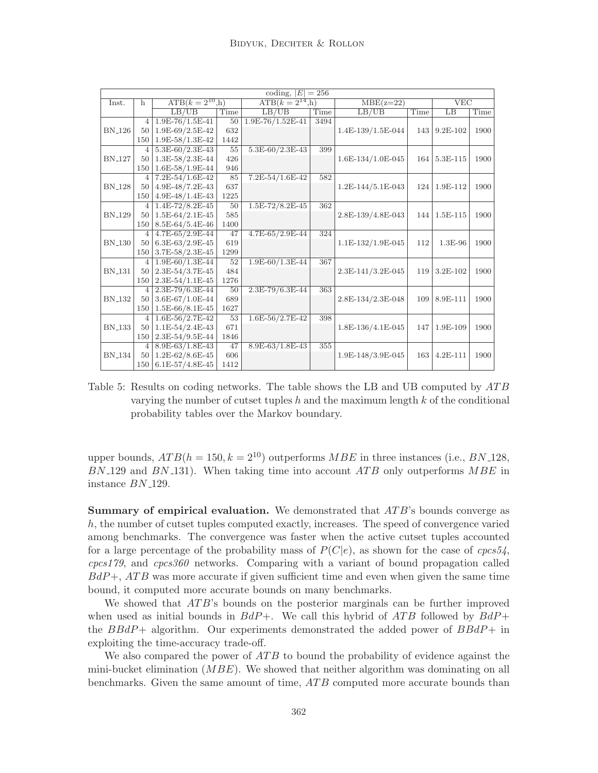|               |                |                      |      | coding, $ E  = 256$  |      |                   |      |                 |      |
|---------------|----------------|----------------------|------|----------------------|------|-------------------|------|-----------------|------|
| Inst.         | $\mathbf{h}$   | $ATB(k = 2^{10}, h)$ |      | $ATB(k = 2^{14}, h)$ |      | $MBE(z=22)$       |      | VEC             |      |
|               |                | LB/UB                | Time | LB/UB                | Time | LB/UB             | Time | $\overline{LB}$ | Time |
|               | $\overline{4}$ | $1.9E-76/1.5E-41$    | 50   | 1.9E-76/1.52E-41     | 3494 |                   |      |                 |      |
| $\rm BN\_126$ | 50             | 1.9E-69/2.5E-42      | 632  |                      |      | 1.4E-139/1.5E-044 | 143  | $9.2E - 102$    | 1900 |
|               | 150            | $1.9E-58/1.3E-42$    | 1442 |                      |      |                   |      |                 |      |
|               | 4              | $5.3E-60/2.3E-43$    | 55   | $5.3E-60/2.3E-43$    | 399  |                   |      |                 |      |
| <b>BN_127</b> | 50             | 1.3E-58/2.3E-44      | 426  |                      |      | 1.6E-134/1.0E-045 | 164  | 5.3E-115        | 1900 |
|               | 150            | $1.6E-58/1.9E-44$    | 946  |                      |      |                   |      |                 |      |
|               | $\overline{4}$ | $7.2E-54/1.6E-42$    | 85   | $7.2E-54/1.6E-42$    | 582  |                   |      |                 |      |
| <b>BN_128</b> | 50             | 4.9E-48/7.2E-43      | 637  |                      |      | 1.2E-144/5.1E-043 | 124  | 1.9E-112        | 1900 |
|               | 150            | $4.9E-48/1.4E-43$    | 1225 |                      |      |                   |      |                 |      |
|               | $\overline{4}$ | $1.4E-72/8.2E-45$    | 50   | $1.5E-72/8.2E-45$    | 362  |                   |      |                 |      |
| <b>BN_129</b> | 50             | $1.5E-64/2.1E-45$    | 585  |                      |      | 2.8E-139/4.8E-043 | 144  | $1.5E-115$      | 1900 |
|               | 150            | 8.5E-64/5.4E-46      | 1400 |                      |      |                   |      |                 |      |
|               | 4              | 4.7E-65/2.9E-44      | 47   | 4.7E-65/2.9E-44      | 324  |                   |      |                 |      |
| <b>BN_130</b> | 50             | $6.3E-63/2.9E-45$    | 619  |                      |      | 1.1E-132/1.9E-045 | 112  | 1.3E-96         | 1900 |
|               | 150            | 3.7E-58/2.3E-45      | 1299 |                      |      |                   |      |                 |      |
|               | $\overline{4}$ | $1.9E-60/1.3E-44$    | 52   | $1.9E-60/1.3E-44$    | 367  |                   |      |                 |      |
| <b>BN_131</b> | 50             | $2.3E-54/3.7E-45$    | 484  |                      |      | 2.3E-141/3.2E-045 | 119  | 3.2E-102        | 1900 |
|               | 150            | $2.3E-54/1.1E-45$    | 1276 |                      |      |                   |      |                 |      |
|               | 4              | $2.3E-79/6.3E-44$    | 50   | 2.3E-79/6.3E-44      | 363  |                   |      |                 |      |
| <b>BN_132</b> | 50             | 3.6E-67/1.0E-44      | 689  |                      |      | 2.8E-134/2.3E-048 | 109  | 8.9E-111        | 1900 |
|               | 150            | $1.5E-66/8.1E-45$    | 1627 |                      |      |                   |      |                 |      |
|               | 4              | $1.6E-56/2.7E-42$    | 53   | $1.6E-56/2.7E-42$    | 398  |                   |      |                 |      |
| <b>BN_133</b> | 50             | $1.1E-54/2.4E-43$    | 671  |                      |      | 1.8E-136/4.1E-045 | 147  | 1.9E-109        | 1900 |
|               | 150            | 2.3E-54/9.5E-44      | 1846 |                      |      |                   |      |                 |      |
|               | $\overline{4}$ | $8.9E-63/1.8E-43$    | 47   | $8.9E-63/1.8E-43$    | 355  |                   |      |                 |      |
| <b>BN_134</b> | 50             | $1.2E-62/8.6E-45$    | 606  |                      |      | 1.9E-148/3.9E-045 | 163  | 4.2E-111        | 1900 |
|               | 150            | $6.1E-57/4.8E-45$    | 1412 |                      |      |                   |      |                 |      |

Table 5: Results on coding networks. The table shows the LB and UB computed by  $ATB$ varying the number of cutset tuples  $h$  and the maximum length  $k$  of the conditional probability tables over the Markov boundary.

upper bounds,  $ATB(h = 150, k = 2^{10})$  outperforms  $MBE$  in three instances (i.e., BN-128,  $BN.129$  and  $BN.131$ ). When taking time into account  $ATB$  only outperforms  $MBE$  in instance BN 129.

**Summary of empirical evaluation.** We demonstrated that  $ATB$ 's bounds converge as h, the number of cutset tuples computed exactly, increases. The speed of convergence varied among benchmarks. The convergence was faster when the active cutset tuples accounted for a large percentage of the probability mass of  $P(C|e)$ , as shown for the case of cpcs54, cpcs179, and cpcs360 networks. Comparing with a variant of bound propagation called  $BdP+\,ATB$  was more accurate if given sufficient time and even when given the same time bound, it computed more accurate bounds on many benchmarks.

We showed that ATB's bounds on the posterior marginals can be further improved when used as initial bounds in  $BdP+$ . We call this hybrid of ATB followed by  $BdP+$ the BBdP+ algorithm. Our experiments demonstrated the added power of BBdP+ in exploiting the time-accuracy trade-off.

We also compared the power of  $ATB$  to bound the probability of evidence against the mini-bucket elimination  $(MBE)$ . We showed that neither algorithm was dominating on all benchmarks. Given the same amount of time, ATB computed more accurate bounds than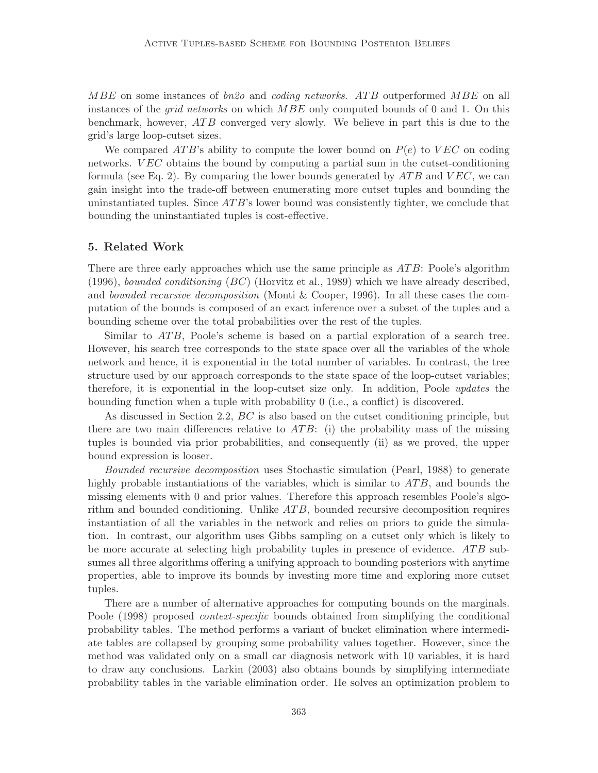MBE on some instances of  $bn2o$  and *coding networks. ATB* outperformed MBE on all instances of the *grid networks* on which  $MBE$  only computed bounds of 0 and 1. On this benchmark, however,  $ATB$  converged very slowly. We believe in part this is due to the grid's large loop-cutset sizes.

We compared ATB's ability to compute the lower bound on  $P(e)$  to  $VEC$  on coding networks. VEC obtains the bound by computing a partial sum in the cutset-conditioning formula (see Eq. 2). By comparing the lower bounds generated by  $ATB$  and  $VEC$ , we can gain insight into the trade-off between enumerating more cutset tuples and bounding the uninstantiated tuples. Since  $ATB$ 's lower bound was consistently tighter, we conclude that bounding the uninstantiated tuples is cost-effective.

#### 5. Related Work

There are three early approaches which use the same principle as  $ATB$ : Poole's algorithm  $(1996)$ , *bounded conditioning*  $(BC)$  (Horvitz et al., 1989) which we have already described, and bounded recursive decomposition (Monti & Cooper, 1996). In all these cases the computation of the bounds is composed of an exact inference over a subset of the tuples and a bounding scheme over the total probabilities over the rest of the tuples.

Similar to  $ATB$ , Poole's scheme is based on a partial exploration of a search tree. However, his search tree corresponds to the state space over all the variables of the whole network and hence, it is exponential in the total number of variables. In contrast, the tree structure used by our approach corresponds to the state space of the loop-cutset variables; therefore, it is exponential in the loop-cutset size only. In addition, Poole updates the bounding function when a tuple with probability 0 (i.e., a conflict) is discovered.

As discussed in Section 2.2, BC is also based on the cutset conditioning principle, but there are two main differences relative to  $ATB$ : (i) the probability mass of the missing tuples is bounded via prior probabilities, and consequently (ii) as we proved, the upper bound expression is looser.

Bounded recursive decomposition uses Stochastic simulation (Pearl, 1988) to generate highly probable instantiations of the variables, which is similar to  $ATB$ , and bounds the missing elements with 0 and prior values. Therefore this approach resembles Poole's algorithm and bounded conditioning. Unlike  $ATB$ , bounded recursive decomposition requires instantiation of all the variables in the network and relies on priors to guide the simulation. In contrast, our algorithm uses Gibbs sampling on a cutset only which is likely to be more accurate at selecting high probability tuples in presence of evidence. ATB subsumes all three algorithms offering a unifying approach to bounding posteriors with anytime properties, able to improve its bounds by investing more time and exploring more cutset tuples.

There are a number of alternative approaches for computing bounds on the marginals. Poole (1998) proposed *context-specific* bounds obtained from simplifying the conditional probability tables. The method performs a variant of bucket elimination where intermediate tables are collapsed by grouping some probability values together. However, since the method was validated only on a small car diagnosis network with 10 variables, it is hard to draw any conclusions. Larkin (2003) also obtains bounds by simplifying intermediate probability tables in the variable elimination order. He solves an optimization problem to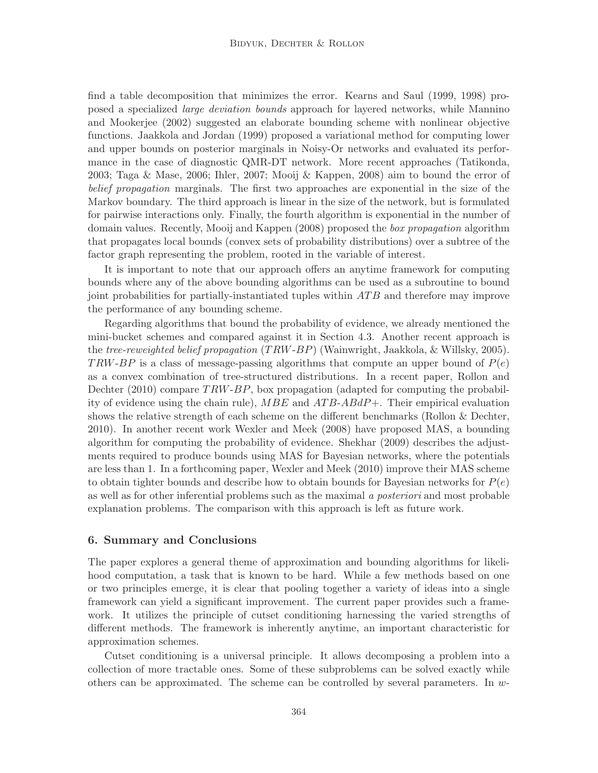find a table decomposition that minimizes the error. Kearns and Saul (1999, 1998) proposed a specialized large deviation bounds approach for layered networks, while Mannino and Mookerjee (2002) suggested an elaborate bounding scheme with nonlinear objective functions. Jaakkola and Jordan (1999) proposed a variational method for computing lower and upper bounds on posterior marginals in Noisy-Or networks and evaluated its performance in the case of diagnostic QMR-DT network. More recent approaches (Tatikonda, 2003; Taga & Mase, 2006; Ihler, 2007; Mooij & Kappen, 2008) aim to bound the error of belief propagation marginals. The first two approaches are exponential in the size of the Markov boundary. The third approach is linear in the size of the network, but is formulated for pairwise interactions only. Finally, the fourth algorithm is exponential in the number of domain values. Recently, Mooij and Kappen (2008) proposed the box propagation algorithm that propagates local bounds (convex sets of probability distributions) over a subtree of the factor graph representing the problem, rooted in the variable of interest.

It is important to note that our approach offers an anytime framework for computing bounds where any of the above bounding algorithms can be used as a subroutine to bound joint probabilities for partially-instantiated tuples within ATB and therefore may improve the performance of any bounding scheme.

Regarding algorithms that bound the probability of evidence, we already mentioned the mini-bucket schemes and compared against it in Section 4.3. Another recent approach is the *tree-reweighted belief propagation*  $(TRW-BP)$  (Wainwright, Jaakkola, & Willsky, 2005). TRW-BP is a class of message-passing algorithms that compute an upper bound of  $P(e)$ as a convex combination of tree-structured distributions. In a recent paper, Rollon and Dechter  $(2010)$  compare  $TRW-BP$ , box propagation (adapted for computing the probability of evidence using the chain rule),  $MBE$  and  $ATB-ABdP+$ . Their empirical evaluation shows the relative strength of each scheme on the different benchmarks (Rollon & Dechter, 2010). In another recent work Wexler and Meek (2008) have proposed MAS, a bounding algorithm for computing the probability of evidence. Shekhar (2009) describes the adjustments required to produce bounds using MAS for Bayesian networks, where the potentials are less than 1. In a forthcoming paper, Wexler and Meek (2010) improve their MAS scheme to obtain tighter bounds and describe how to obtain bounds for Bayesian networks for  $P(e)$ as well as for other inferential problems such as the maximal a posteriori and most probable explanation problems. The comparison with this approach is left as future work.

#### 6. Summary and Conclusions

The paper explores a general theme of approximation and bounding algorithms for likelihood computation, a task that is known to be hard. While a few methods based on one or two principles emerge, it is clear that pooling together a variety of ideas into a single framework can yield a significant improvement. The current paper provides such a framework. It utilizes the principle of cutset conditioning harnessing the varied strengths of different methods. The framework is inherently anytime, an important characteristic for approximation schemes.

Cutset conditioning is a universal principle. It allows decomposing a problem into a collection of more tractable ones. Some of these subproblems can be solved exactly while others can be approximated. The scheme can be controlled by several parameters. In w-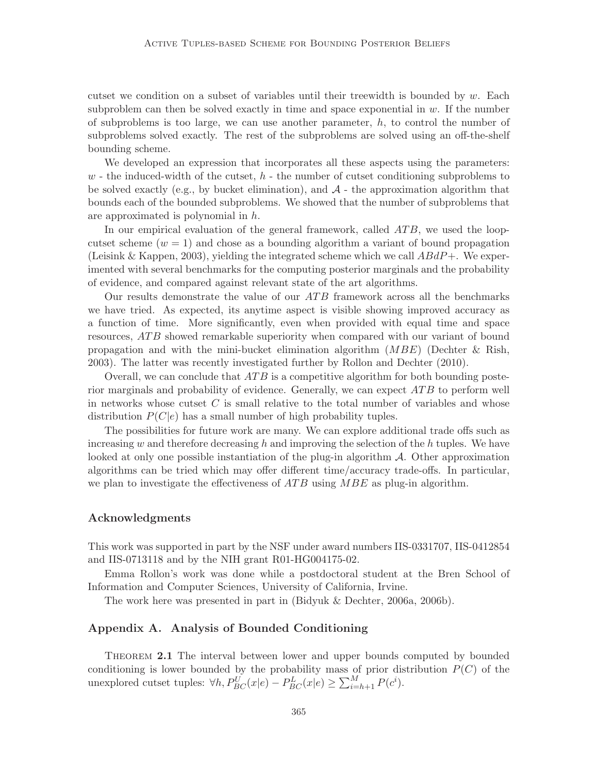cutset we condition on a subset of variables until their treewidth is bounded by  $w$ . Each subproblem can then be solved exactly in time and space exponential in  $w$ . If the number of subproblems is too large, we can use another parameter,  $h$ , to control the number of subproblems solved exactly. The rest of the subproblems are solved using an off-the-shelf bounding scheme.

We developed an expression that incorporates all these aspects using the parameters:  $w$  - the induced-width of the cutset,  $h$  - the number of cutset conditioning subproblems to be solved exactly (e.g., by bucket elimination), and  $A$  - the approximation algorithm that bounds each of the bounded subproblems. We showed that the number of subproblems that are approximated is polynomial in h.

In our empirical evaluation of the general framework, called  $ATB$ , we used the loopcutset scheme  $(w = 1)$  and chose as a bounding algorithm a variant of bound propagation (Leisink & Kappen, 2003), yielding the integrated scheme which we call  $ABdP+$ . We experimented with several benchmarks for the computing posterior marginals and the probability of evidence, and compared against relevant state of the art algorithms.

Our results demonstrate the value of our  $ATB$  framework across all the benchmarks we have tried. As expected, its anytime aspect is visible showing improved accuracy as a function of time. More significantly, even when provided with equal time and space resources, ATB showed remarkable superiority when compared with our variant of bound propagation and with the mini-bucket elimination algorithm  $(MBE)$  (Dechter & Rish, 2003). The latter was recently investigated further by Rollon and Dechter (2010).

Overall, we can conclude that  $ATB$  is a competitive algorithm for both bounding posterior marginals and probability of evidence. Generally, we can expect  $ATB$  to perform well in networks whose cutset C is small relative to the total number of variables and whose distribution  $P(C|e)$  has a small number of high probability tuples.

The possibilities for future work are many. We can explore additional trade offs such as increasing w and therefore decreasing h and improving the selection of the h tuples. We have looked at only one possible instantiation of the plug-in algorithm  $A$ . Other approximation algorithms can be tried which may offer different time/accuracy trade-offs. In particular, we plan to investigate the effectiveness of  $ATB$  using  $MBE$  as plug-in algorithm.

#### Acknowledgments

This work was supported in part by the NSF under award numbers IIS-0331707, IIS-0412854 and IIS-0713118 and by the NIH grant R01-HG004175-02.

Emma Rollon's work was done while a postdoctoral student at the Bren School of Information and Computer Sciences, University of California, Irvine.

The work here was presented in part in (Bidyuk & Dechter, 2006a, 2006b).

### Appendix A. Analysis of Bounded Conditioning

Theorem 2.1 The interval between lower and upper bounds computed by bounded conditioning is lower bounded by the probability mass of prior distribution  $P(C)$  of the unexplored cutset tuples:  $\forall h, P_{BC}^{U}(x|e) - P_{BC}^{L}(x|e) \ge \sum_{i=h+1}^{M} P(c^{i}).$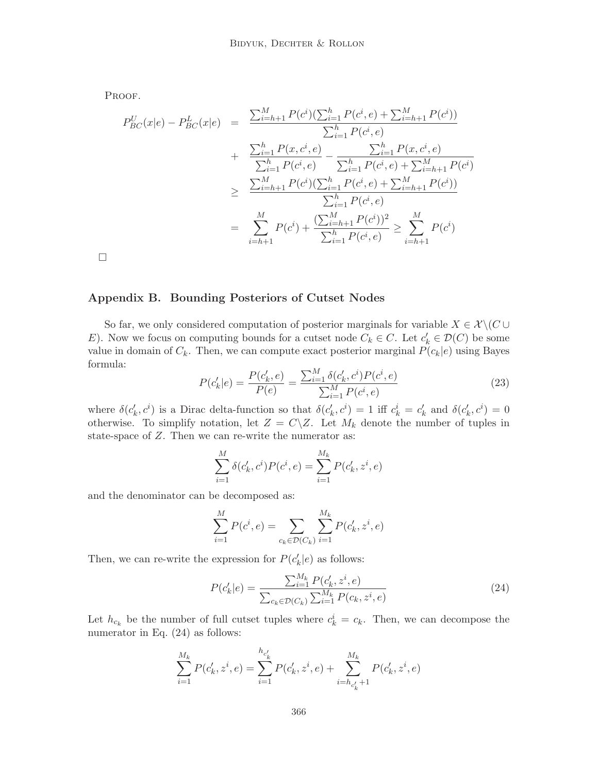PROOF.

$$
P_{BC}^{U}(x|e) - P_{BC}^{L}(x|e) = \frac{\sum_{i=h+1}^{M} P(c^{i})(\sum_{i=1}^{h} P(c^{i}, e) + \sum_{i=h+1}^{M} P(c^{i}))}{\sum_{i=1}^{h} P(c^{i}, e)} + \frac{\sum_{i=1}^{h} P(x, c^{i}, e)}{\sum_{i=1}^{h} P(c^{i}, e) - \sum_{i=1}^{h} P(x, c^{i}, e)} - \frac{\sum_{i=1}^{h} P(x, c^{i}, e)}{\sum_{i=1}^{h} P(c^{i}, e) + \sum_{i=h+1}^{M} P(c^{i})}} \geq \frac{\sum_{i=h+1}^{M} P(c^{i})(\sum_{i=1}^{h} P(c^{i}, e) + \sum_{i=h+1}^{M} P(c^{i}))}{\sum_{i=1}^{h} P(c^{i}, e)} - \frac{\sum_{i=h+1}^{M} P(c^{i}, e)}{\sum_{i=1}^{h} P(c^{i}, e)} \geq \sum_{i=h+1}^{M} P(c^{i})}
$$

 $\Box$ 

## Appendix B. Bounding Posteriors of Cutset Nodes

So far, we only considered computation of posterior marginals for variable  $X \in \mathcal{X} \backslash (C \cup$ E). Now we focus on computing bounds for a cutset node  $C_k \in C$ . Let  $c'_k \in \mathcal{D}(C)$  be some value in domain of  $C_k$ . Then, we can compute exact posterior marginal  $P(c_k|e)$  using Bayes formula:

$$
P(c'_k|e) = \frac{P(c'_k, e)}{P(e)} = \frac{\sum_{i=1}^{M} \delta(c'_k, c^i) P(c^i, e)}{\sum_{i=1}^{M} P(c^i, e)}
$$
(23)

where  $\delta(c'_k, c^i)$  is a Dirac delta-function so that  $\delta(c'_k, c^i) = 1$  iff  $c^i_k = c'_k$  and  $\delta(c'_k, c^i) = 0$ otherwise. To simplify notation, let  $Z = C\backslash Z$ . Let  $M_k$  denote the number of tuples in state-space of Z. Then we can re-write the numerator as:

$$
\sum_{i=1}^{M} \delta(c'_k, c^i) P(c^i, e) = \sum_{i=1}^{M_k} P(c'_k, z^i, e)
$$

and the denominator can be decomposed as:

$$
\sum_{i=1}^{M} P(c^i, e) = \sum_{c_k \in \mathcal{D}(C_k)} \sum_{i=1}^{M_k} P(c'_k, z^i, e)
$$

Then, we can re-write the expression for  $P(c'_k|e)$  as follows:

$$
P(c'_{k}|e) = \frac{\sum_{i=1}^{M_{k}} P(c'_{k}, z^{i}, e)}{\sum_{c_{k} \in \mathcal{D}(C_{k})} \sum_{i=1}^{M_{k}} P(c_{k}, z^{i}, e)}
$$
(24)

Let  $h_{c_k}$  be the number of full cutset tuples where  $c_k^i = c_k$ . Then, we can decompose the numerator in Eq.  $(24)$  as follows:

$$
\sum_{i=1}^{M_k} P(c'_k, z^i, e) = \sum_{i=1}^{h_{c'_k}} P(c'_k, z^i, e) + \sum_{i=h_{c'_k}+1}^{M_k} P(c'_k, z^i, e)
$$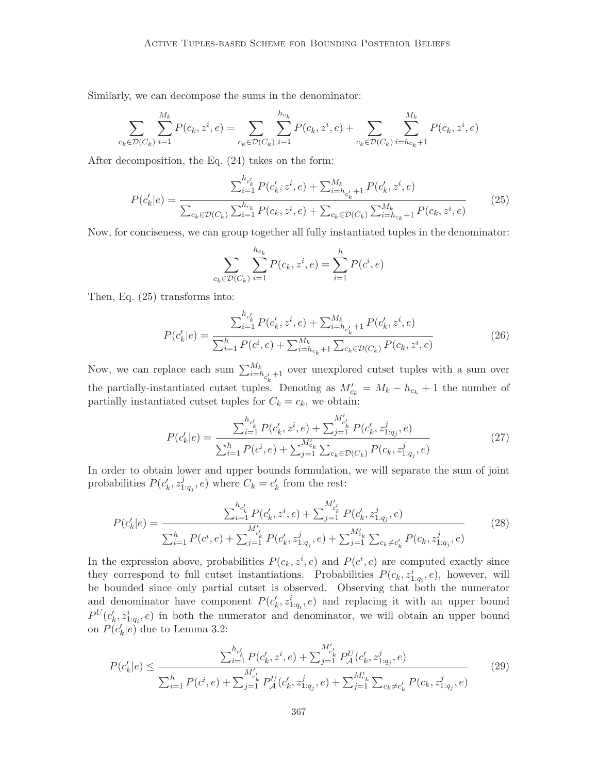Similarly, we can decompose the sums in the denominator:

$$
\sum_{c_k \in \mathcal{D}(C_k)} \sum_{i=1}^{M_k} P(c_k, z^i, e) = \sum_{c_k \in \mathcal{D}(C_k)} \sum_{i=1}^{h_{c_k}} P(c_k, z^i, e) + \sum_{c_k \in \mathcal{D}(C_k)} \sum_{i=h_{c_k}+1}^{M_k} P(c_k, z^i, e)
$$

After decomposition, the Eq. (24) takes on the form:

$$
P(c'_{k}|e) = \frac{\sum_{i=1}^{h_{c'_{k}}} P(c'_{k}, z^{i}, e) + \sum_{i=h_{c'_{k}}+1}^{M_{k}} P(c'_{k}, z^{i}, e)}{\sum_{c_{k} \in \mathcal{D}(C_{k})} \sum_{i=1}^{h_{c_{k}}} P(c_{k}, z^{i}, e) + \sum_{c_{k} \in \mathcal{D}(C_{k})} \sum_{i=h_{c_{k}}+1}^{M_{k}} P(c_{k}, z^{i}, e)}
$$
(25)

Now, for conciseness, we can group together all fully instantiated tuples in the denominator:

$$
\sum_{c_k \in \mathcal{D}(C_k)} \sum_{i=1}^{h_{c_k}} P(c_k, z^i, e) = \sum_{i=1}^h P(c^i, e)
$$

Then, Eq. (25) transforms into:

$$
P(c'_{k}|e) = \frac{\sum_{i=1}^{h_{c'_{k}}} P(c'_{k}, z^{i}, e) + \sum_{i=h_{c'_{k}}+1}^{M_{k}} P(c'_{k}, z^{i}, e)}{\sum_{i=1}^{h} P(c^{i}, e) + \sum_{i=h_{c_{k}}+1}^{M_{k}} \sum_{c_{k} \in \mathcal{D}(C_{k})} P(c_{k}, z^{i}, e)}
$$
(26)

Now, we can replace each sum  $\sum_{i=h_{c'_k}+1}^{M_k}$  over unexplored cutset tuples with a sum over the partially-instantiated cutset tuples. Denoting as  $M'_{c_k} = M_k - h_{c_k} + 1$  the number of partially instantiated cutset tuples for  $C_k = c_k$ , we obtain:

$$
P(c'_{k}|e) = \frac{\sum_{i=1}^{h_{c'_{k}}} P(c'_{k}, z^{i}, e) + \sum_{j=1}^{M'_{c'_{k}}} P(c'_{k}, z^{j}_{1:q_{j}}, e)}{\sum_{i=1}^{h} P(c^{i}, e) + \sum_{j=1}^{M'_{c_{k}}} \sum_{c_{k} \in \mathcal{D}(C_{k})} P(c_{k}, z^{j}_{1:q_{j}}, e)}
$$
(27)

In order to obtain lower and upper bounds formulation, we will separate the sum of joint probabilities  $P(c'_{k}, z_1^j)$  $\frac{j}{1:q_j}, e$  where  $C_k = c'_k$  from the rest:

$$
P(c'_{k}|e) = \frac{\sum_{i=1}^{h_{c'_{k}}} P(c'_{k}, z^{i}, e) + \sum_{j=1}^{M'_{c'_{k}}} P(c'_{k}, z^{j}_{1:q_{j}}, e)}{\sum_{i=1}^{h} P(c^{i}, e) + \sum_{j=1}^{M'_{c'_{k}}} P(c'_{k}, z^{j}_{1:q_{j}}, e) + \sum_{j=1}^{M'_{c_{k}}} \sum_{c_{k} \neq c'_{k}} P(c_{k}, z^{j}_{1:q_{j}}, e)}
$$
(28)

In the expression above, probabilities  $P(c_k, z^i, e)$  and  $P(c^i, e)$  are computed exactly since they correspond to full cutset instantiations. Probabilities  $P(c_k, z_{1:q_i}^i, e)$ , however, will be bounded since only partial cutset is observed. Observing that both the numerator and denominator have component  $P(c'_{k}, z_{1:q_{i}}^{i}, e)$  and replacing it with an upper bound  $P^{U}(c'_{k}, z_{1:q_{i}}, e)$  in both the numerator and denominator, we will obtain an upper bound on  $P(c'_k|e)^{\tilde{}}$  due to Lemma 3.2:

$$
P(c'_{k}|e) \leq \frac{\sum_{i=1}^{h_{c'_{k}}} P(c'_{k}, z^{i}, e) + \sum_{j=1}^{M'_{c'_{k}}} P_{\mathcal{A}}^{U}(c'_{k}, z^{j}_{1:q_{j}}, e)}{\sum_{i=1}^{h} P(c^{i}, e) + \sum_{j=1}^{M'_{c'_{k}}} P_{\mathcal{A}}^{U}(c'_{k}, z^{j}_{1:q_{j}}, e) + \sum_{j=1}^{M'_{c_{k}}} \sum_{c_{k} \neq c'_{k}} P(c_{k}, z^{j}_{1:q_{j}}, e)}
$$
(29)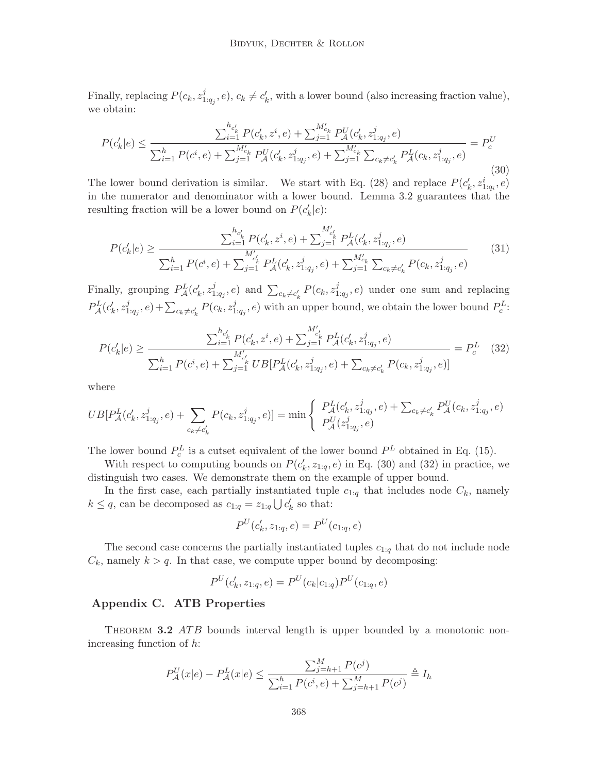Finally, replacing  $P(c_k, z_1^j)$  $L_{1:q_j}^j, e$ ,  $c_k \neq c'_k$ , with a lower bound (also increasing fraction value), we obtain:

$$
P(c'_{k}|e) \leq \frac{\sum_{i=1}^{h_{c'_{k}}} P(c'_{k}, z^{i}, e) + \sum_{j=1}^{M'_{c_{k}}} P_{\mathcal{A}}^{U}(c'_{k}, z^{j}_{1:q_{j}}, e)}{\sum_{i=1}^{h} P(c^{i}, e) + \sum_{j=1}^{M'_{c_{k}}} P_{\mathcal{A}}^{U}(c'_{k}, z^{j}_{1:q_{j}}, e) + \sum_{j=1}^{M'_{c_{k}}} \sum_{c_{k} \neq c'_{k}} P_{\mathcal{A}}^{L}(c_{k}, z^{j}_{1:q_{j}}, e)} = P_{c}^{U}
$$
\n(30)

The lower bound derivation is similar. We start with Eq. (28) and replace  $P(c_k^{\prime}, z_{1:q_i}^i, e)$ in the numerator and denominator with a lower bound. Lemma 3.2 guarantees that the resulting fraction will be a lower bound on  $P(c'_k|e)$ :

$$
P(c'_{k}|e) \geq \frac{\sum_{i=1}^{h_{c'_{k}}} P(c'_{k}, z^{i}, e) + \sum_{j=1}^{M'_{c'_{k}}} P_{\mathcal{A}}^{L}(c'_{k}, z^{j}_{1:q_{j}}, e)}{\sum_{i=1}^{h} P(c^{i}, e) + \sum_{j=1}^{M'_{c'_{k}}} P_{\mathcal{A}}^{L}(c'_{k}, z^{j}_{1:q_{j}}, e) + \sum_{j=1}^{M'_{c_{k}}} \sum_{c_{k} \neq c'_{k}} P(c_{k}, z^{j}_{1:q_{j}}, e)}
$$
(31)

Finally, grouping  $P_{\mathcal{A}}^{L}(c'_{k}, z_{1}^{j})$  $(z_{1:q_j}^j, e)$  and  $\sum_{c_k \neq c'_k} P(c_k, z_1^j)$  $L_{1:q_j}^j$ , e) under one sum and replacing  $P_{\mathcal{A}}^{L}(c'_{k},z_{1}^{j}% ,\ldots,z_{d}^{j})=\sum_{k=0}^{d}(c'_{k},z_{1}^{j},z_{2}^{j},\ldots,z_{d}^{j})$  $(z_{1:q_j}^j, e) + \sum_{c_k \neq c'_k} P(c_k, z_1^j)$  $(i_{1:q_j}, e)$  with an upper bound, we obtain the lower bound  $P_c^L$ :

$$
P(c'_{k}|e) \geq \frac{\sum_{i=1}^{h_{c'_{k}}} P(c'_{k}, z^{i}, e) + \sum_{j=1}^{M'_{c'_{k}}} P_{\mathcal{A}}^{L}(c'_{k}, z^{j}_{1:q_{j}}, e)}{\sum_{i=1}^{h} P(c^{i}, e) + \sum_{j=1}^{M'_{c'_{k}}} U B[P_{\mathcal{A}}^{L}(c'_{k}, z^{j}_{1:q_{j}}, e) + \sum_{c_{k} \neq c'_{k}} P(c_{k}, z^{j}_{1:q_{j}}, e)]} = P_{c}^{L}
$$
(32)

where

$$
UB[P_A^L(c'_k, z_{1:q_j}^j, e) + \sum_{c_k \neq c'_k} P(c_k, z_{1:q_j}^j, e)] = \min \begin{cases} P_A^L(c'_k, z_{1:q_j}^j, e) + \sum_{c_k \neq c'_k} P_A^U(c_k, z_{1:q_j}^j, e) \\ P_A^U(z_{1:q_j}^j, e) \end{cases}
$$

The lower bound  $P_c^L$  is a cutset equivalent of the lower bound  $P<sup>L</sup>$  obtained in Eq. (15).

With respect to computing bounds on  $P(c'_k, z_{1:q}, e)$  in Eq. (30) and (32) in practice, we distinguish two cases. We demonstrate them on the example of upper bound.

In the first case, each partially instantiated tuple  $c_{1:q}$  that includes node  $C_k$ , namely  $k \leq q$ , can be decomposed as  $c_{1:q} = z_{1:q} \bigcup c'_{k}$  so that:

$$
P^{U}(c'_{k}, z_{1:q}, e) = P^{U}(c_{1:q}, e)
$$

The second case concerns the partially instantiated tuples  $c_{1:q}$  that do not include node  $C_k$ , namely  $k > q$ . In that case, we compute upper bound by decomposing:

$$
P^{U}(c'_{k}, z_{1:q}, e) = P^{U}(c_{k}|c_{1:q})P^{U}(c_{1:q}, e)
$$

## Appendix C. ATB Properties

THEOREM 3.2 ATB bounds interval length is upper bounded by a monotonic nonincreasing function of h:

$$
P_{\mathcal{A}}^{U}(x|e) - P_{\mathcal{A}}^{L}(x|e) \le \frac{\sum_{j=h+1}^{M} P(c^{j})}{\sum_{i=1}^{h} P(c^{i}, e) + \sum_{j=h+1}^{M} P(c^{j})} \triangleq I_{h}
$$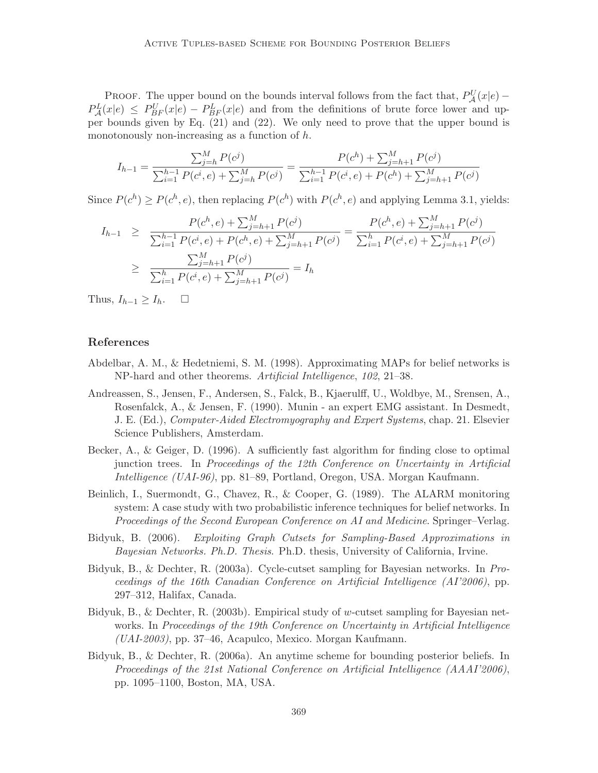PROOF. The upper bound on the bounds interval follows from the fact that,  $P_{\mathcal{A}}^{U}(x|e)$  –  $P_{\mathcal{A}}^{L}(x|e) \leq P_{BF}^{U}(x|e) - P_{BF}^{L}(x|e)$  and from the definitions of brute force lower and upper bounds given by Eq. (21) and (22). We only need to prove that the upper bound is monotonously non-increasing as a function of h.

$$
I_{h-1} = \frac{\sum_{j=h}^{M} P(c^j)}{\sum_{i=1}^{h-1} P(c^i, e) + \sum_{j=h}^{M} P(c^j)} = \frac{P(c^h) + \sum_{j=h+1}^{M} P(c^j)}{\sum_{i=1}^{h-1} P(c^i, e) + P(c^h) + \sum_{j=h+1}^{M} P(c^j)}
$$

Since  $P(c^h) \ge P(c^h, e)$ , then replacing  $P(c^h)$  with  $P(c^h, e)$  and applying Lemma 3.1, yields:

$$
I_{h-1} \geq \frac{P(c^h, e) + \sum_{j=h+1}^M P(c^j)}{\sum_{i=1}^{h-1} P(c^i, e) + P(c^h, e) + \sum_{j=h+1}^M P(c^j)} = \frac{P(c^h, e) + \sum_{j=h+1}^M P(c^j)}{\sum_{i=1}^h P(c^i, e) + \sum_{j=h+1}^M P(c^j)}
$$
  
 
$$
\geq \frac{\sum_{j=h+1}^M P(c^j)}{\sum_{i=1}^h P(c^i, e) + \sum_{j=h+1}^M P(c^j)} = I_h
$$

Thus,  $I_{h-1} \geq I_h$ .  $\Box$ 

### References

- Abdelbar, A. M., & Hedetniemi, S. M. (1998). Approximating MAPs for belief networks is NP-hard and other theorems. Artificial Intelligence, 102, 21–38.
- Andreassen, S., Jensen, F., Andersen, S., Falck, B., Kjaerulff, U., Woldbye, M., Srensen, A., Rosenfalck, A., & Jensen, F. (1990). Munin - an expert EMG assistant. In Desmedt, J. E. (Ed.), Computer-Aided Electromyography and Expert Systems, chap. 21. Elsevier Science Publishers, Amsterdam.
- Becker, A., & Geiger, D. (1996). A sufficiently fast algorithm for finding close to optimal junction trees. In Proceedings of the 12th Conference on Uncertainty in Artificial Intelligence (UAI-96), pp. 81–89, Portland, Oregon, USA. Morgan Kaufmann.
- Beinlich, I., Suermondt, G., Chavez, R., & Cooper, G. (1989). The ALARM monitoring system: A case study with two probabilistic inference techniques for belief networks. In Proceedings of the Second European Conference on AI and Medicine. Springer–Verlag.
- Bidyuk, B. (2006). Exploiting Graph Cutsets for Sampling-Based Approximations in Bayesian Networks. Ph.D. Thesis. Ph.D. thesis, University of California, Irvine.
- Bidyuk, B., & Dechter, R. (2003a). Cycle-cutset sampling for Bayesian networks. In Proceedings of the 16th Canadian Conference on Artificial Intelligence (AI'2006), pp. 297–312, Halifax, Canada.
- Bidyuk, B., & Dechter, R. (2003b). Empirical study of w-cutset sampling for Bayesian networks. In Proceedings of the 19th Conference on Uncertainty in Artificial Intelligence  $(UAI-2003)$ , pp. 37–46, Acapulco, Mexico. Morgan Kaufmann.
- Bidyuk, B., & Dechter, R. (2006a). An anytime scheme for bounding posterior beliefs. In Proceedings of the 21st National Conference on Artificial Intelligence (AAAI'2006), pp. 1095–1100, Boston, MA, USA.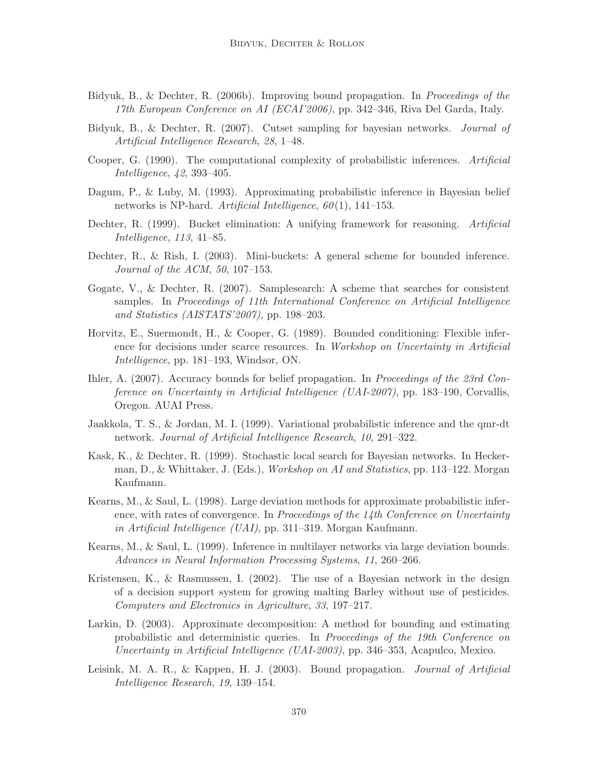- Bidyuk, B., & Dechter, R. (2006b). Improving bound propagation. In *Proceedings of the* 17th European Conference on AI (ECAI'2006), pp. 342–346, Riva Del Garda, Italy.
- Bidyuk, B., & Dechter, R. (2007). Cutset sampling for bayesian networks. Journal of Artificial Intelligence Research, 28, 1–48.
- Cooper, G. (1990). The computational complexity of probabilistic inferences. Artificial Intelligence, 42, 393–405.
- Dagum, P., & Luby, M. (1993). Approximating probabilistic inference in Bayesian belief networks is NP-hard. Artificial Intelligence,  $60(1)$ , 141–153.
- Dechter, R. (1999). Bucket elimination: A unifying framework for reasoning. Artificial Intelligence, 113, 41–85.
- Dechter, R., & Rish, I. (2003). Mini-buckets: A general scheme for bounded inference. Journal of the ACM, 50, 107–153.
- Gogate, V., & Dechter, R. (2007). Samplesearch: A scheme that searches for consistent samples. In Proceedings of 11th International Conference on Artificial Intelligence and Statistics (AISTATS'2007), pp. 198–203.
- Horvitz, E., Suermondt, H., & Cooper, G. (1989). Bounded conditioning: Flexible inference for decisions under scarce resources. In Workshop on Uncertainty in Artificial Intelligence, pp. 181–193, Windsor, ON.
- Ihler, A. (2007). Accuracy bounds for belief propagation. In *Proceedings of the 23rd Con*ference on Uncertainty in Artificial Intelligence (UAI-2007), pp. 183–190, Corvallis, Oregon. AUAI Press.
- Jaakkola, T. S., & Jordan, M. I. (1999). Variational probabilistic inference and the qmr-dt network. Journal of Artificial Intelligence Research, 10, 291–322.
- Kask, K., & Dechter, R. (1999). Stochastic local search for Bayesian networks. In Heckerman, D., & Whittaker, J. (Eds.), Workshop on AI and Statistics, pp. 113–122. Morgan Kaufmann.
- Kearns, M., & Saul, L. (1998). Large deviation methods for approximate probabilistic inference, with rates of convergence. In Proceedings of the 14th Conference on Uncertainty in Artificial Intelligence (UAI), pp. 311–319. Morgan Kaufmann.
- Kearns, M., & Saul, L. (1999). Inference in multilayer networks via large deviation bounds. Advances in Neural Information Processing Systems, 11, 260–266.
- Kristensen, K., & Rasmussen, I. (2002). The use of a Bayesian network in the design of a decision support system for growing malting Barley without use of pesticides. Computers and Electronics in Agriculture, 33, 197–217.
- Larkin, D. (2003). Approximate decomposition: A method for bounding and estimating probabilistic and deterministic queries. In Proceedings of the 19th Conference on Uncertainty in Artificial Intelligence (UAI-2003), pp. 346–353, Acapulco, Mexico.
- Leisink, M. A. R., & Kappen, H. J. (2003). Bound propagation. *Journal of Artificial* Intelligence Research, 19, 139–154.